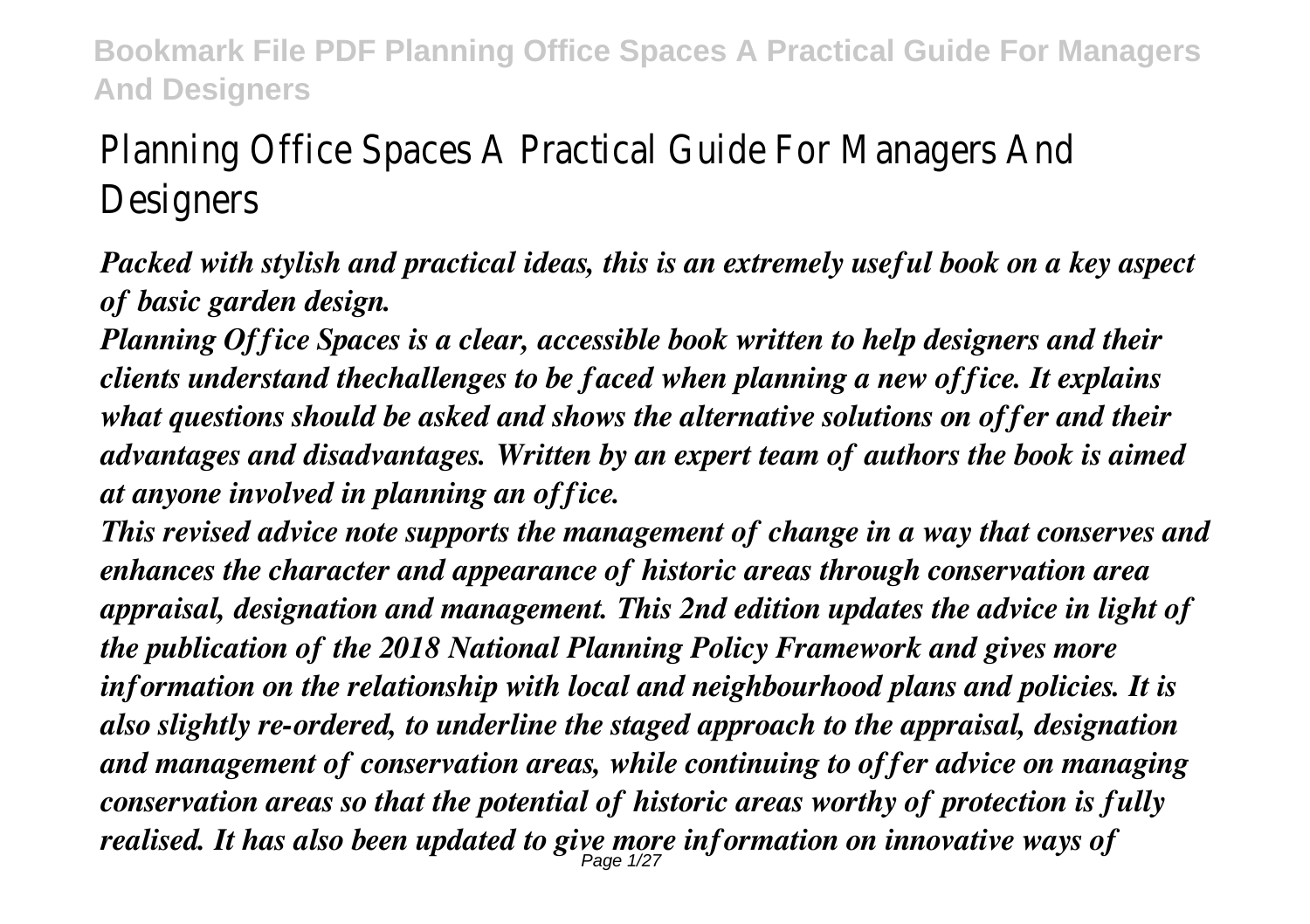# Planning Office Spaces A Practical Guide For Managers And **Designers**

*Packed with stylish and practical ideas, this is an extremely useful book on a key aspect of basic garden design.*

*Planning Office Spaces is a clear, accessible book written to help designers and their clients understand thechallenges to be faced when planning a new office. It explains what questions should be asked and shows the alternative solutions on offer and their advantages and disadvantages. Written by an expert team of authors the book is aimed at anyone involved in planning an office.*

*This revised advice note supports the management of change in a way that conserves and enhances the character and appearance of historic areas through conservation area appraisal, designation and management. This 2nd edition updates the advice in light of the publication of the 2018 National Planning Policy Framework and gives more information on the relationship with local and neighbourhood plans and policies. It is also slightly re-ordered, to underline the staged approach to the appraisal, designation and management of conservation areas, while continuing to offer advice on managing conservation areas so that the potential of historic areas worthy of protection is fully realised. It has also been updated to give more information on innovative ways of* Page 1/27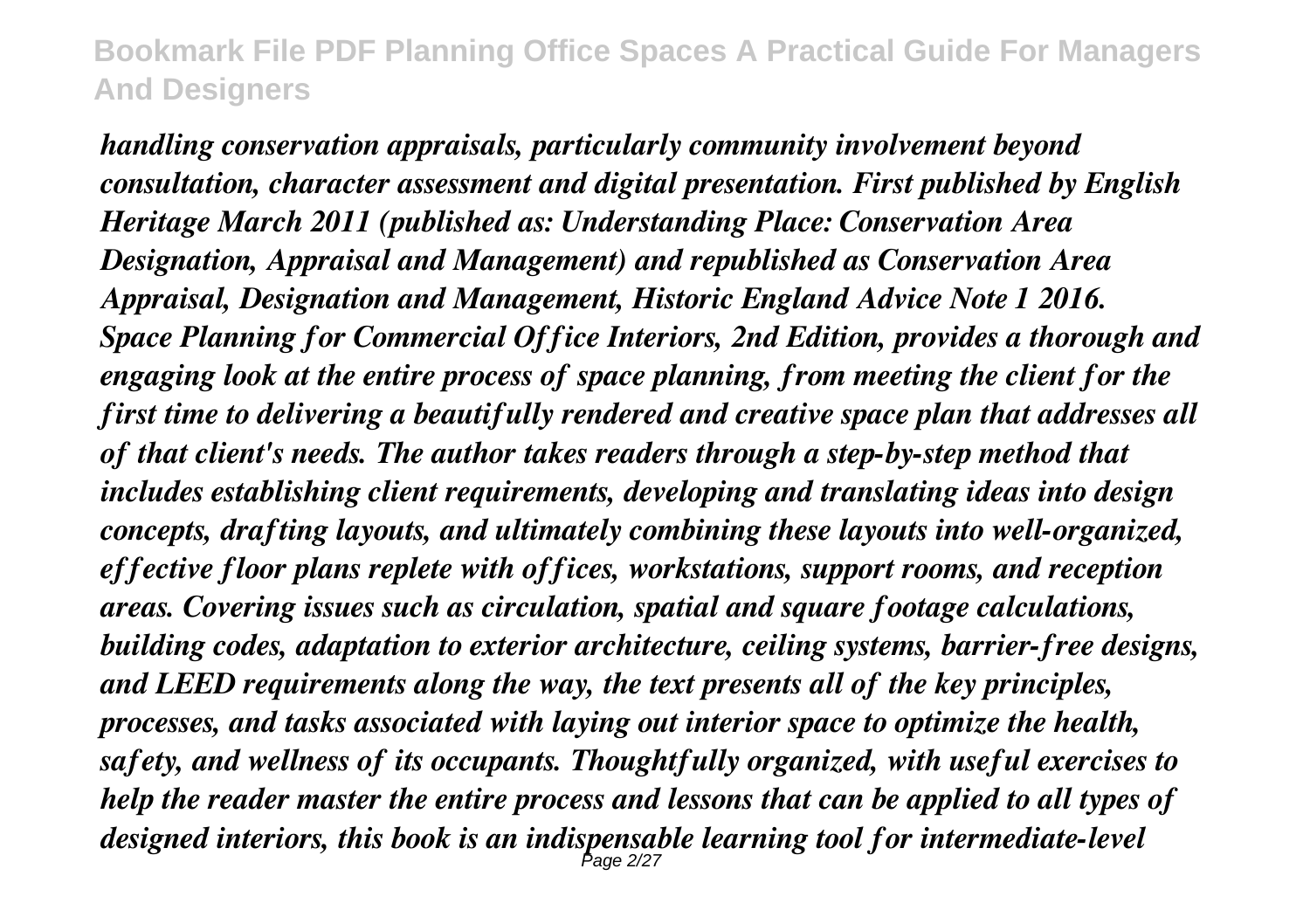*handling conservation appraisals, particularly community involvement beyond consultation, character assessment and digital presentation. First published by English Heritage March 2011 (published as: Understanding Place: Conservation Area Designation, Appraisal and Management) and republished as Conservation Area Appraisal, Designation and Management, Historic England Advice Note 1 2016. Space Planning for Commercial Office Interiors, 2nd Edition, provides a thorough and engaging look at the entire process of space planning, from meeting the client for the first time to delivering a beautifully rendered and creative space plan that addresses all of that client's needs. The author takes readers through a step-by-step method that includes establishing client requirements, developing and translating ideas into design concepts, drafting layouts, and ultimately combining these layouts into well-organized, effective floor plans replete with offices, workstations, support rooms, and reception areas. Covering issues such as circulation, spatial and square footage calculations, building codes, adaptation to exterior architecture, ceiling systems, barrier-free designs, and LEED requirements along the way, the text presents all of the key principles, processes, and tasks associated with laying out interior space to optimize the health, safety, and wellness of its occupants. Thoughtfully organized, with useful exercises to help the reader master the entire process and lessons that can be applied to all types of designed interiors, this book is an indispensable learning tool for intermediate-level* Page 2/27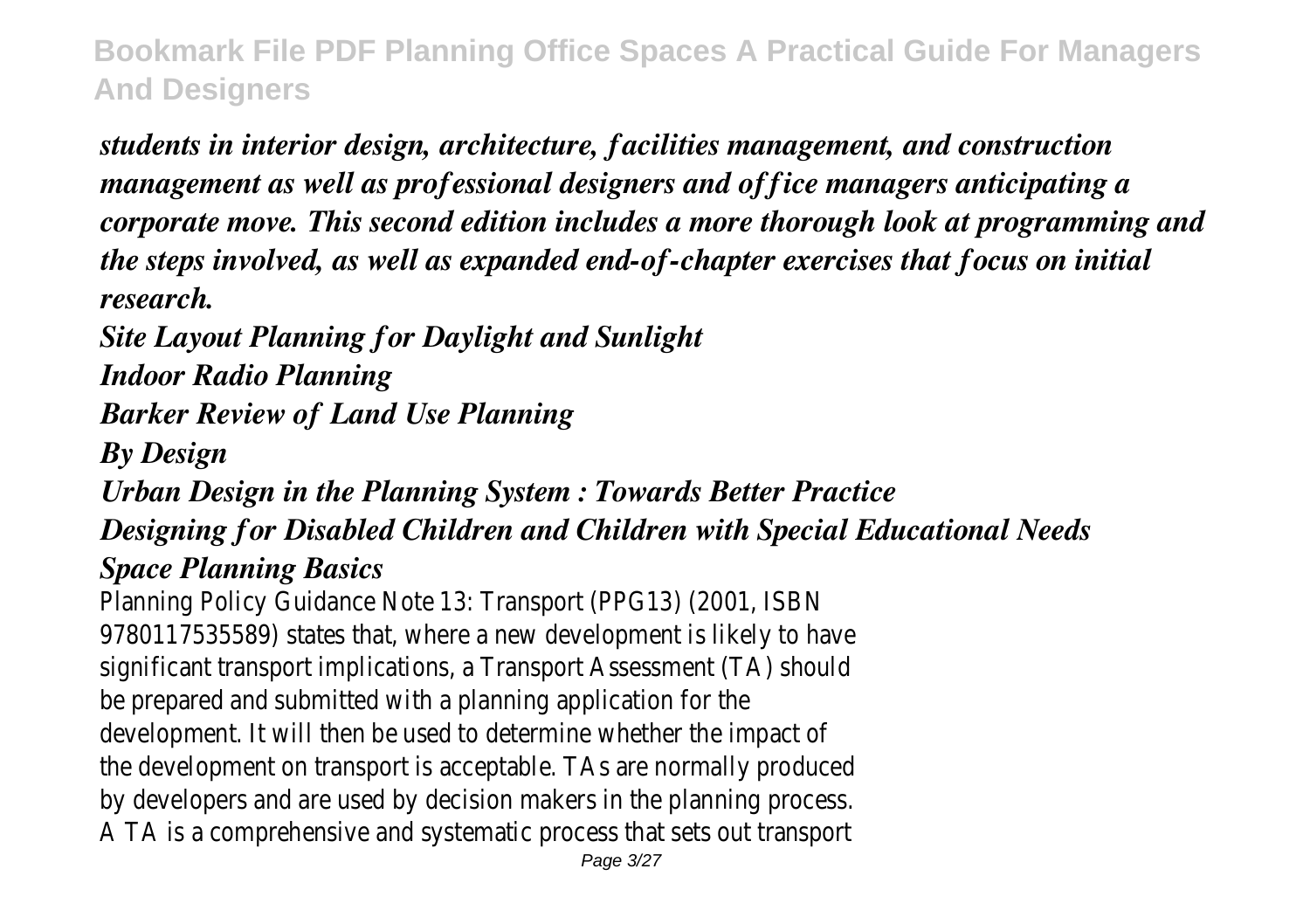*students in interior design, architecture, facilities management, and construction management as well as professional designers and office managers anticipating a corporate move. This second edition includes a more thorough look at programming and the steps involved, as well as expanded end-of-chapter exercises that focus on initial research.*

*Site Layout Planning for Daylight and Sunlight Indoor Radio Planning Barker Review of Land Use Planning By Design*

### *Urban Design in the Planning System : Towards Better Practice Designing for Disabled Children and Children with Special Educational Needs Space Planning Basics*

Planning Policy Guidance Note 13: Transport (PPG13) (2001, ISBN 9780117535589) states that, where a new development is likely to have significant transport implications, a Transport Assessment (TA) should be prepared and submitted with a planning application for the development. It will then be used to determine whether the impact of the development on transport is acceptable. TAs are normally produced by developers and are used by decision makers in the planning process. A TA is a comprehensive and systematic process that sets out transport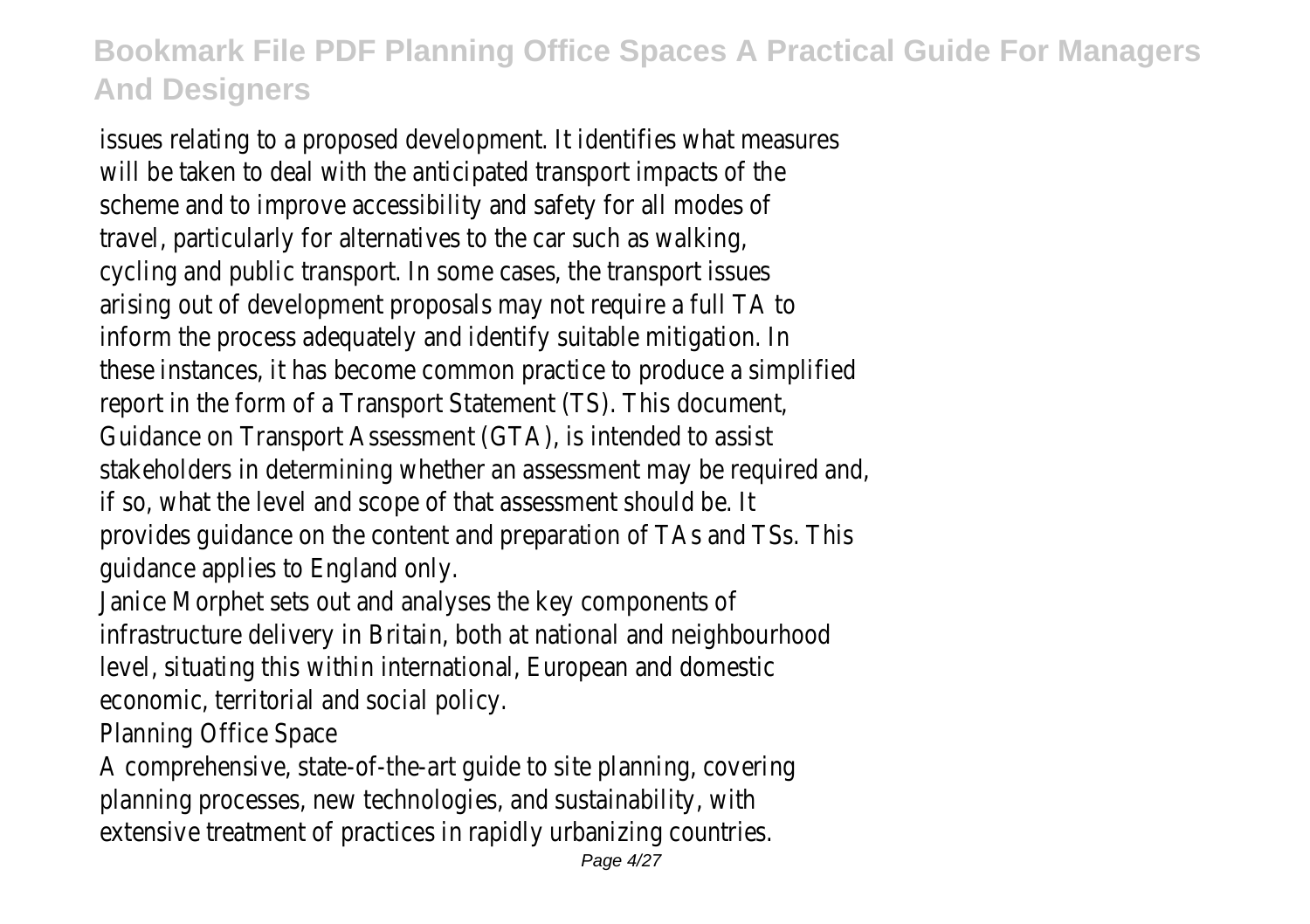issues relating to a proposed development. It identifies what measures will be taken to deal with the anticipated transport impacts of the scheme and to improve accessibility and safety for all modes of travel, particularly for alternatives to the car such as walking, cycling and public transport. In some cases, the transport issues arising out of development proposals may not require a full TA to inform the process adequately and identify suitable mitigation. In these instances, it has become common practice to produce a simplified report in the form of a Transport Statement (TS). This document Guidance on Transport Assessment (GTA), is intended to assist stakeholders in determining whether an assessment may be required and, if so, what the level and scope of that assessment should be. It provides guidance on the content and preparation of TAs and TSs. This guidance applies to England only.

Janice Morphet sets out and analyses the key components of infrastructure delivery in Britain, both at national and neighbourhood level, situating this within international, European and domestic economic, territorial and social policy.

Planning Office Space

A comprehensive, state-of-the-art guide to site planning, covering planning processes, new technologies, and sustainability, with extensive treatment of practices in rapidly urbanizing countries.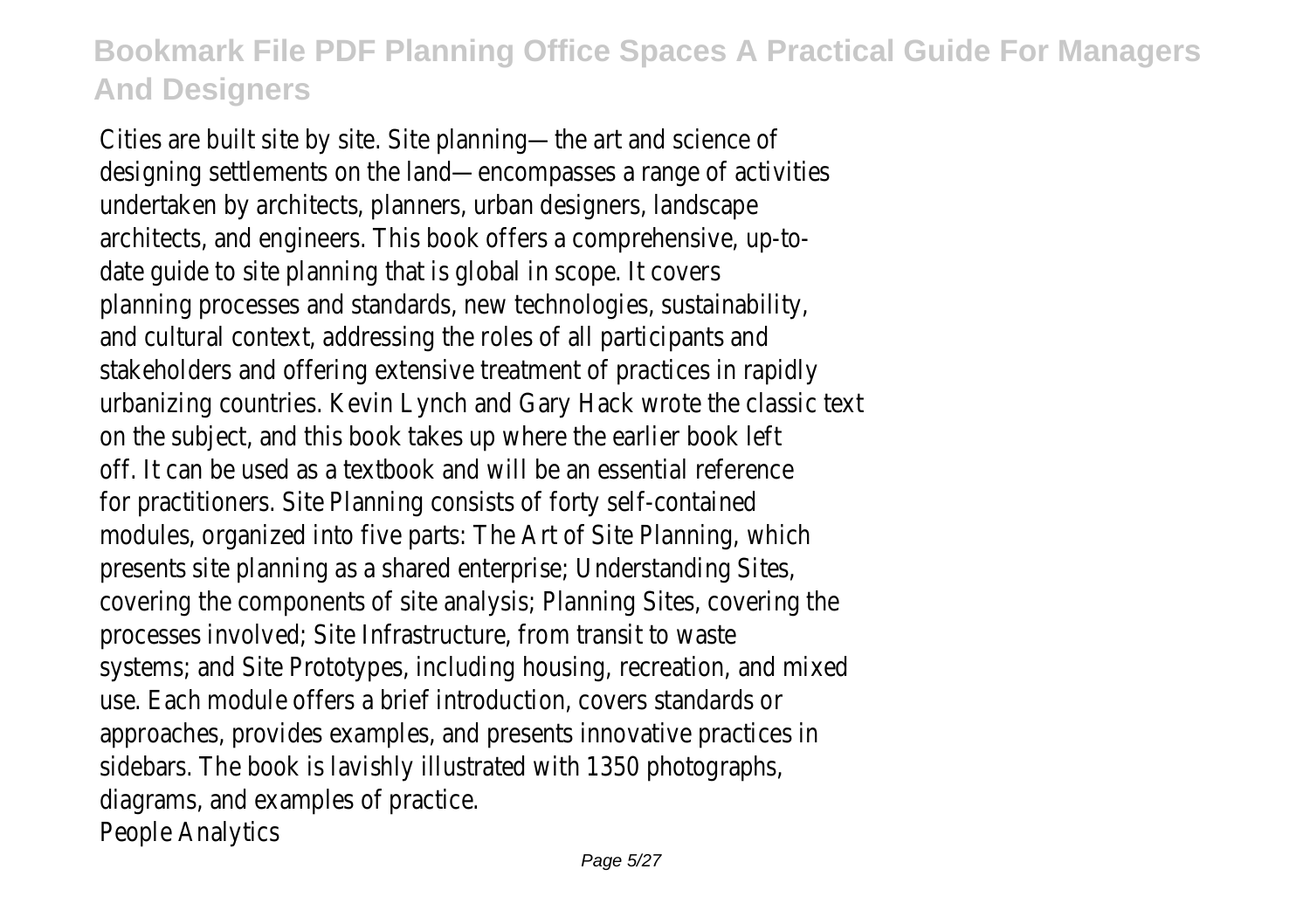Cities are built site by site. Site planning—the art and science of designing settlements on the land—encompasses a range of activities undertaken by architects, planners, urban designers, landscape architects, and engineers. This book offers a comprehensive, up-todate guide to site planning that is global in scope. It covers planning processes and standards, new technologies, sustainability, and cultural context, addressing the roles of all participants and stakeholders and offering extensive treatment of practices in rapidly urbanizing countries. Kevin Lynch and Gary Hack wrote the classic text on the subject, and this book takes up where the earlier book left off. It can be used as a textbook and will be an essential reference for practitioners. Site Planning consists of forty self-contained modules, organized into five parts: The Art of Site Planning, which presents site planning as a shared enterprise; Understanding Sites, covering the components of site analysis; Planning Sites, covering the processes involved; Site Infrastructure, from transit to waste systems; and Site Prototypes, including housing, recreation, and mixed use. Each module offers a brief introduction, covers standards or approaches, provides examples, and presents innovative practices in sidebars. The book is lavishly illustrated with 1350 photographs, diagrams, and examples of practice. People Analytics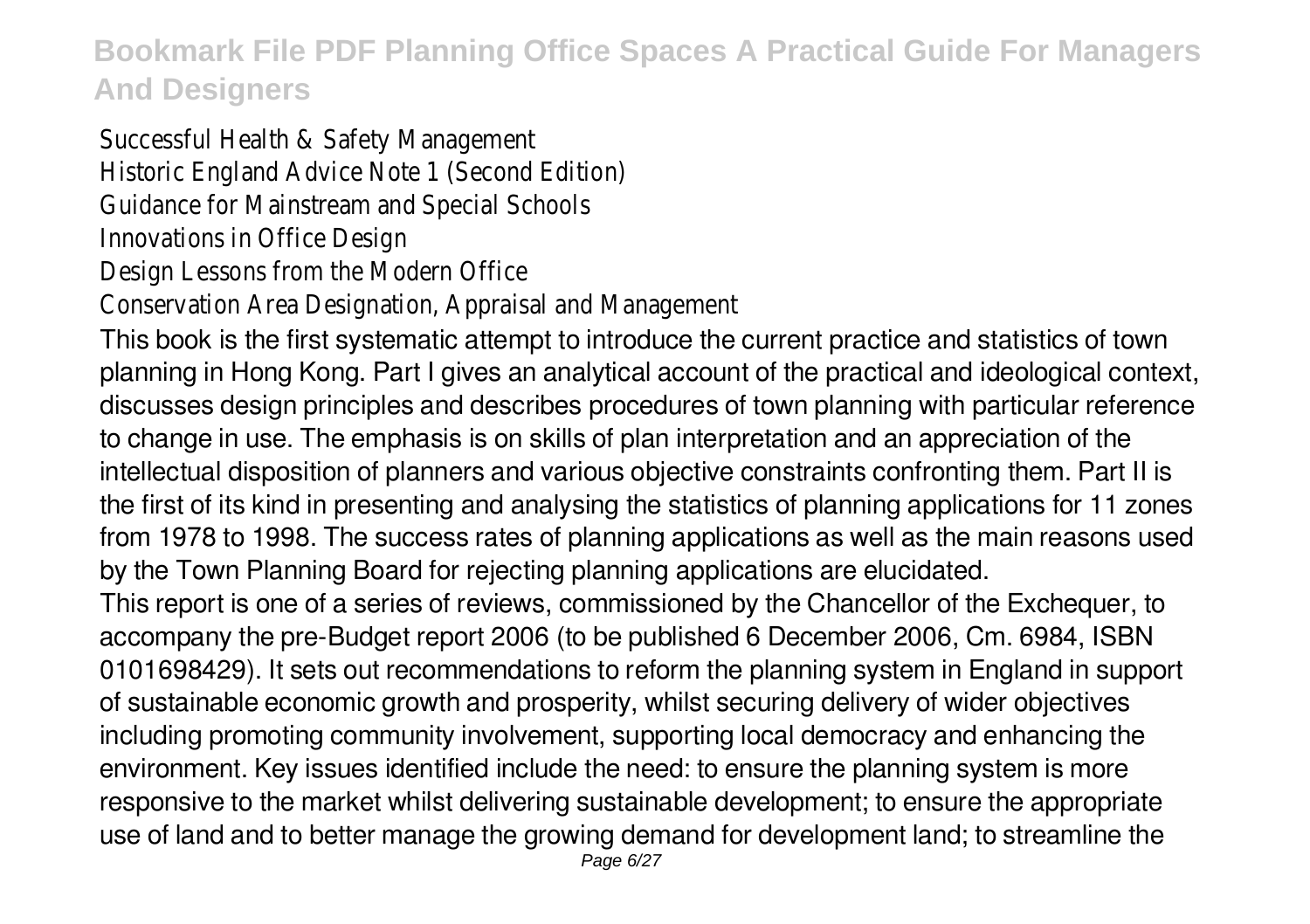Successful Health & Safety Management Historic England Advice Note 1 (Second Edition) Guidance for Mainstream and Special Schools Innovations in Office Design Design Lessons from the Modern Office Conservation Area Designation, Appraisal and Management This book is the first systematic attempt to introduce the current practice and statistics of town planning in Hong Kong. Part I gives an analytical account of the practical and ideological context, discusses design principles and describes procedures of town planning with particular reference to change in use. The emphasis is on skills of plan interpretation and an appreciation of the intellectual disposition of planners and various objective constraints confronting them. Part II is the first of its kind in presenting and analysing the statistics of planning applications for 11 zones from 1978 to 1998. The success rates of planning applications as well as the main reasons used by the Town Planning Board for rejecting planning applications are elucidated. This report is one of a series of reviews, commissioned by the Chancellor of the Exchequer, to accompany the pre-Budget report 2006 (to be published 6 December 2006, Cm. 6984, ISBN 0101698429). It sets out recommendations to reform the planning system in England in support of sustainable economic growth and prosperity, whilst securing delivery of wider objectives including promoting community involvement, supporting local democracy and enhancing the environment. Key issues identified include the need: to ensure the planning system is more responsive to the market whilst delivering sustainable development; to ensure the appropriate use of land and to better manage the growing demand for development land; to streamline the Page 6/27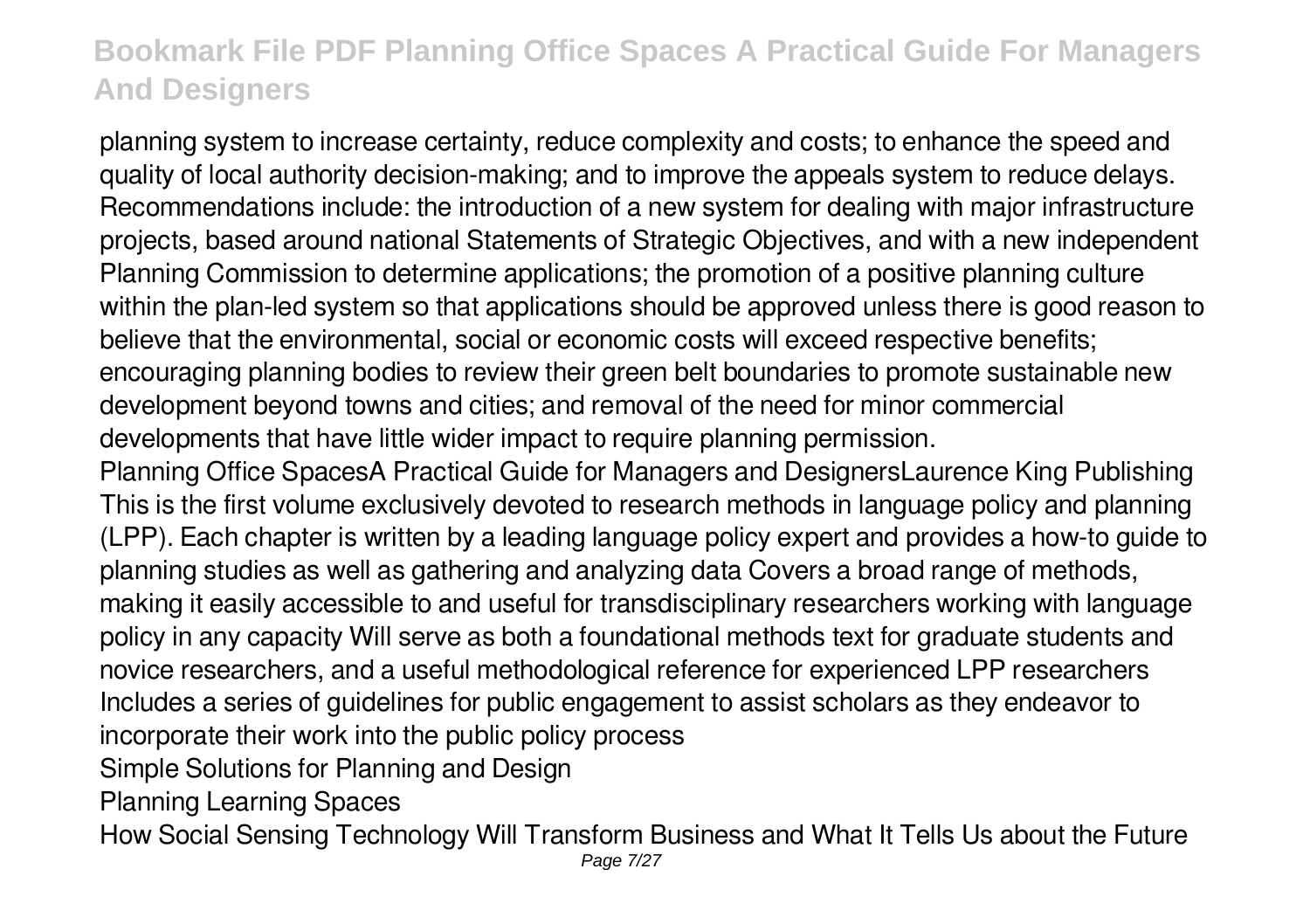planning system to increase certainty, reduce complexity and costs; to enhance the speed and quality of local authority decision-making; and to improve the appeals system to reduce delays. Recommendations include: the introduction of a new system for dealing with major infrastructure projects, based around national Statements of Strategic Objectives, and with a new independent Planning Commission to determine applications; the promotion of a positive planning culture within the plan-led system so that applications should be approved unless there is good reason to believe that the environmental, social or economic costs will exceed respective benefits; encouraging planning bodies to review their green belt boundaries to promote sustainable new development beyond towns and cities; and removal of the need for minor commercial developments that have little wider impact to require planning permission.

Planning Office SpacesA Practical Guide for Managers and DesignersLaurence King Publishing This is the first volume exclusively devoted to research methods in language policy and planning (LPP). Each chapter is written by a leading language policy expert and provides a how-to guide to planning studies as well as gathering and analyzing data Covers a broad range of methods, making it easily accessible to and useful for transdisciplinary researchers working with language policy in any capacity Will serve as both a foundational methods text for graduate students and novice researchers, and a useful methodological reference for experienced LPP researchers Includes a series of guidelines for public engagement to assist scholars as they endeavor to incorporate their work into the public policy process Simple Solutions for Planning and Design

Planning Learning Spaces

How Social Sensing Technology Will Transform Business and What It Tells Us about the Future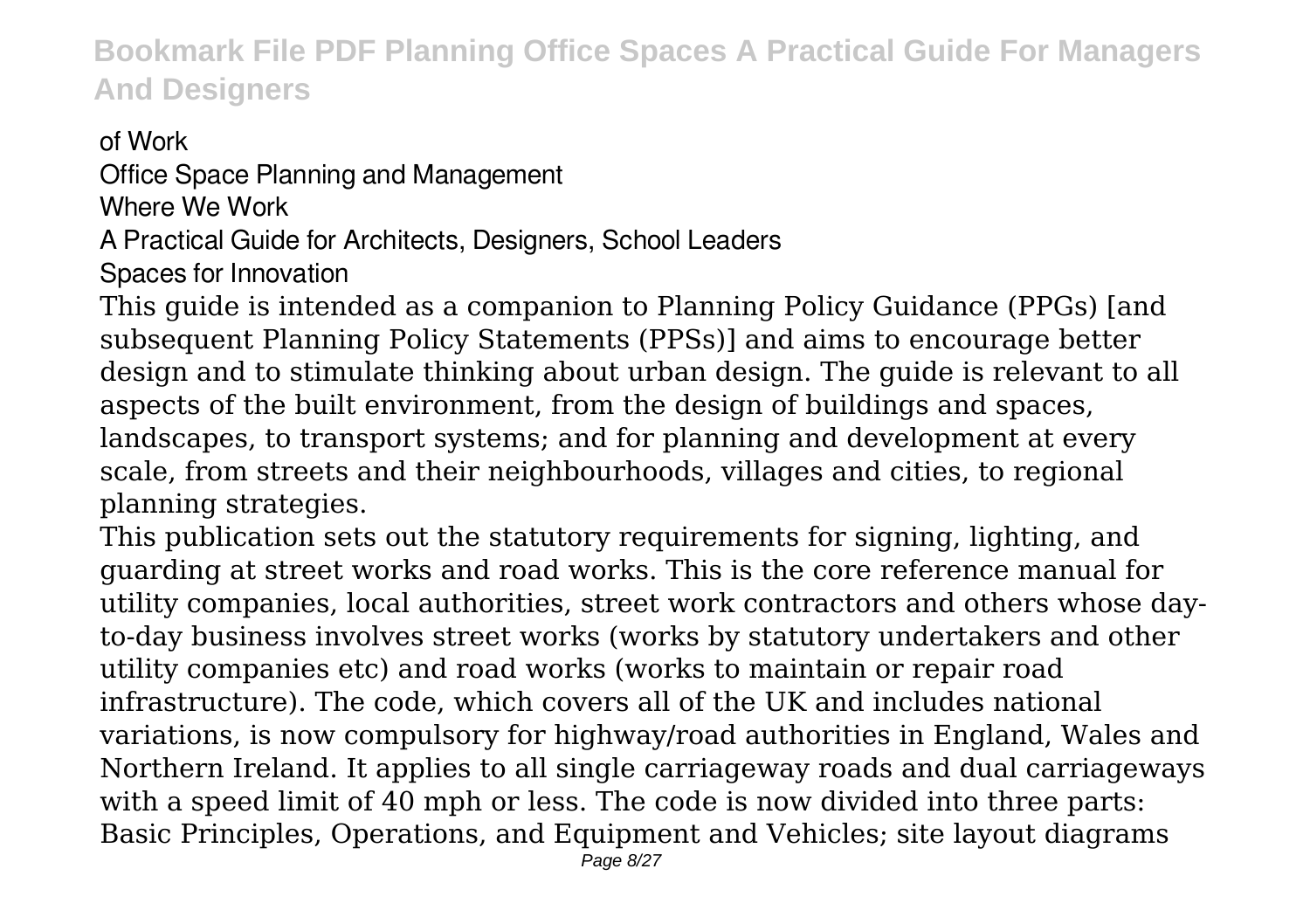#### of Work

Office Space Planning and Management

Where We Work

#### A Practical Guide for Architects, Designers, School Leaders

Spaces for Innovation

This guide is intended as a companion to Planning Policy Guidance (PPGs) [and subsequent Planning Policy Statements (PPSs)] and aims to encourage better design and to stimulate thinking about urban design. The guide is relevant to all aspects of the built environment, from the design of buildings and spaces, landscapes, to transport systems; and for planning and development at every scale, from streets and their neighbourhoods, villages and cities, to regional planning strategies.

This publication sets out the statutory requirements for signing, lighting, and guarding at street works and road works. This is the core reference manual for utility companies, local authorities, street work contractors and others whose dayto-day business involves street works (works by statutory undertakers and other utility companies etc) and road works (works to maintain or repair road infrastructure). The code, which covers all of the UK and includes national variations, is now compulsory for highway/road authorities in England, Wales and Northern Ireland. It applies to all single carriageway roads and dual carriageways with a speed limit of 40 mph or less. The code is now divided into three parts: Basic Principles, Operations, and Equipment and Vehicles; site layout diagrams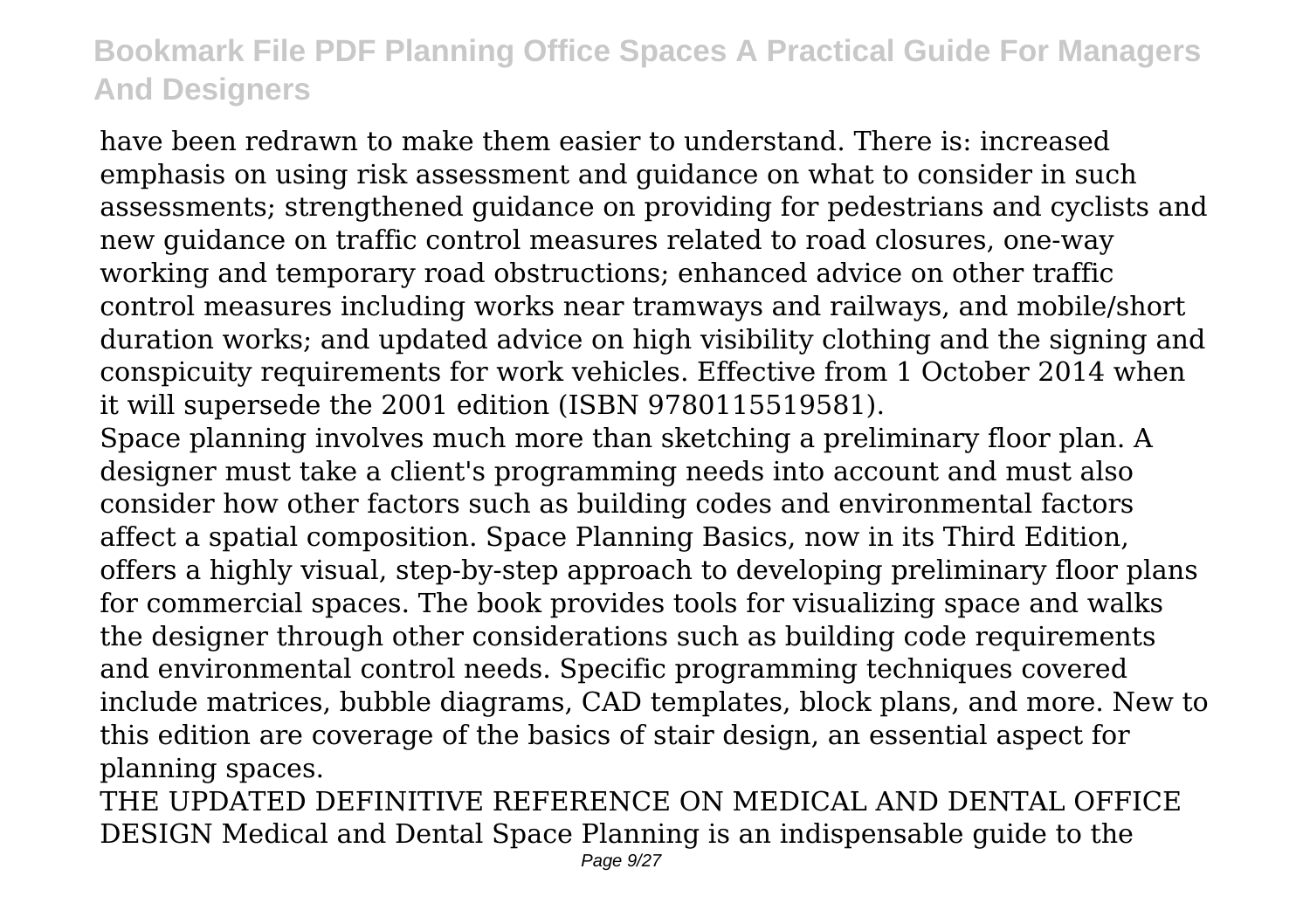have been redrawn to make them easier to understand. There is: increased emphasis on using risk assessment and guidance on what to consider in such assessments; strengthened guidance on providing for pedestrians and cyclists and new guidance on traffic control measures related to road closures, one-way working and temporary road obstructions; enhanced advice on other traffic control measures including works near tramways and railways, and mobile/short duration works; and updated advice on high visibility clothing and the signing and conspicuity requirements for work vehicles. Effective from 1 October 2014 when it will supersede the 2001 edition (ISBN 9780115519581).

Space planning involves much more than sketching a preliminary floor plan. A designer must take a client's programming needs into account and must also consider how other factors such as building codes and environmental factors affect a spatial composition. Space Planning Basics, now in its Third Edition, offers a highly visual, step-by-step approach to developing preliminary floor plans for commercial spaces. The book provides tools for visualizing space and walks the designer through other considerations such as building code requirements and environmental control needs. Specific programming techniques covered include matrices, bubble diagrams, CAD templates, block plans, and more. New to this edition are coverage of the basics of stair design, an essential aspect for planning spaces.

THE UPDATED DEFINITIVE REFERENCE ON MEDICAL AND DENTAL OFFICE DESIGN Medical and Dental Space Planning is an indispensable guide to the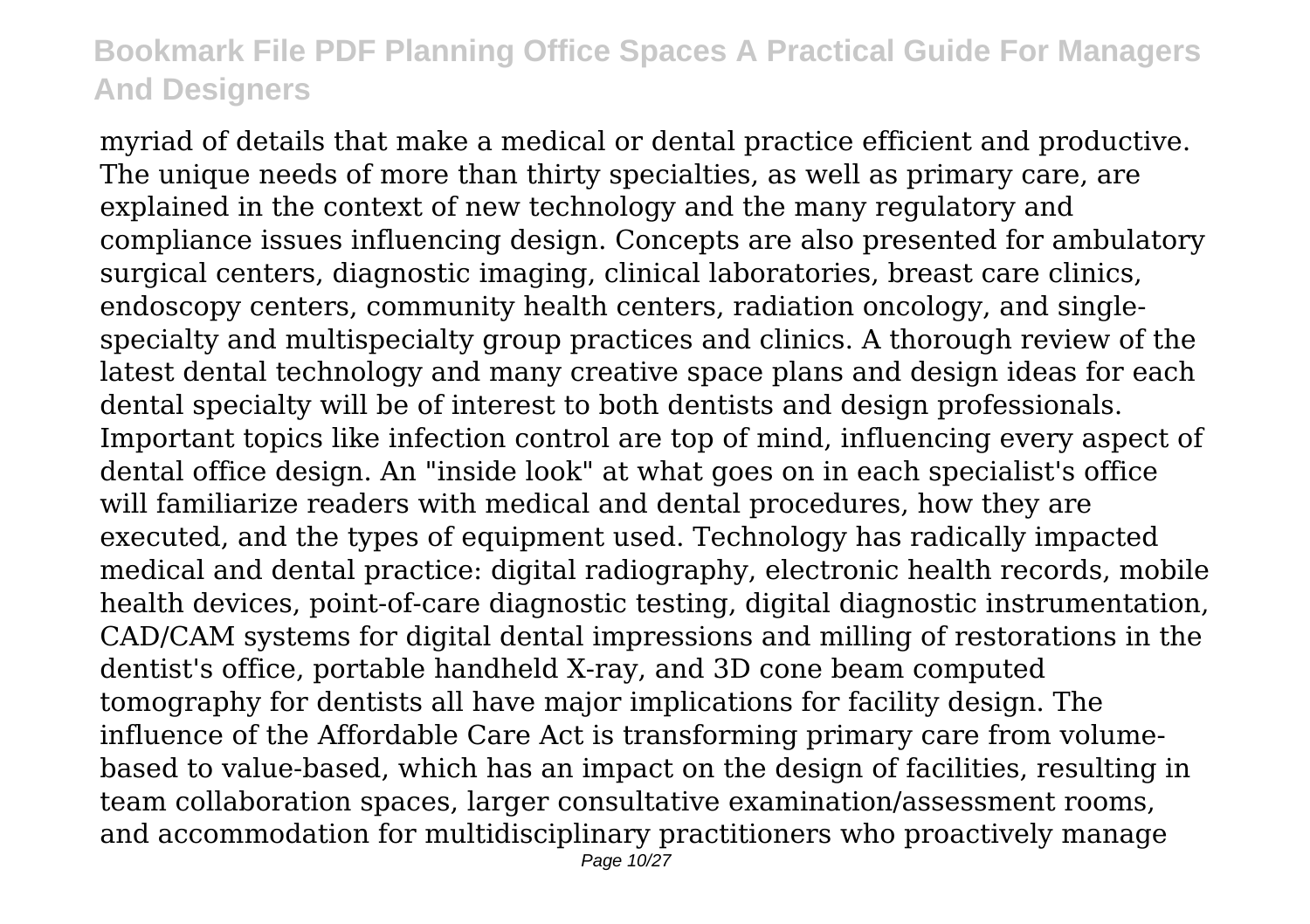myriad of details that make a medical or dental practice efficient and productive. The unique needs of more than thirty specialties, as well as primary care, are explained in the context of new technology and the many regulatory and compliance issues influencing design. Concepts are also presented for ambulatory surgical centers, diagnostic imaging, clinical laboratories, breast care clinics, endoscopy centers, community health centers, radiation oncology, and singlespecialty and multispecialty group practices and clinics. A thorough review of the latest dental technology and many creative space plans and design ideas for each dental specialty will be of interest to both dentists and design professionals. Important topics like infection control are top of mind, influencing every aspect of dental office design. An "inside look" at what goes on in each specialist's office will familiarize readers with medical and dental procedures, how they are executed, and the types of equipment used. Technology has radically impacted medical and dental practice: digital radiography, electronic health records, mobile health devices, point-of-care diagnostic testing, digital diagnostic instrumentation, CAD/CAM systems for digital dental impressions and milling of restorations in the dentist's office, portable handheld X-ray, and 3D cone beam computed tomography for dentists all have major implications for facility design. The influence of the Affordable Care Act is transforming primary care from volumebased to value-based, which has an impact on the design of facilities, resulting in team collaboration spaces, larger consultative examination/assessment rooms, and accommodation for multidisciplinary practitioners who proactively manage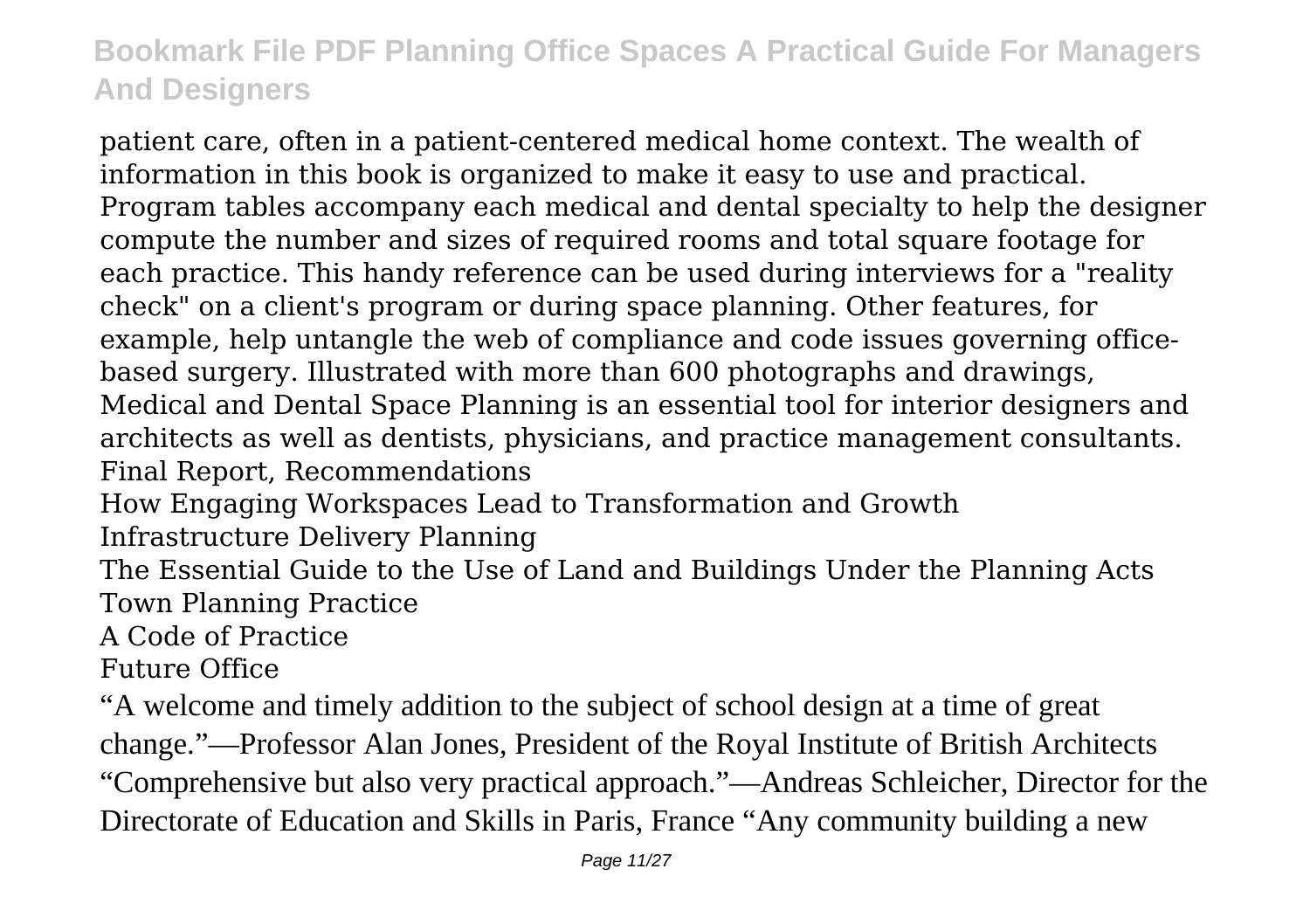patient care, often in a patient-centered medical home context. The wealth of information in this book is organized to make it easy to use and practical. Program tables accompany each medical and dental specialty to help the designer compute the number and sizes of required rooms and total square footage for each practice. This handy reference can be used during interviews for a "reality check" on a client's program or during space planning. Other features, for example, help untangle the web of compliance and code issues governing officebased surgery. Illustrated with more than 600 photographs and drawings, Medical and Dental Space Planning is an essential tool for interior designers and architects as well as dentists, physicians, and practice management consultants. Final Report, Recommendations How Engaging Workspaces Lead to Transformation and Growth Infrastructure Delivery Planning

The Essential Guide to the Use of Land and Buildings Under the Planning Acts Town Planning Practice

A Code of Practice

Future Office

"A welcome and timely addition to the subject of school design at a time of great change."—Professor Alan Jones, President of the Royal Institute of British Architects "Comprehensive but also very practical approach."—Andreas Schleicher, Director for the Directorate of Education and Skills in Paris, France "Any community building a new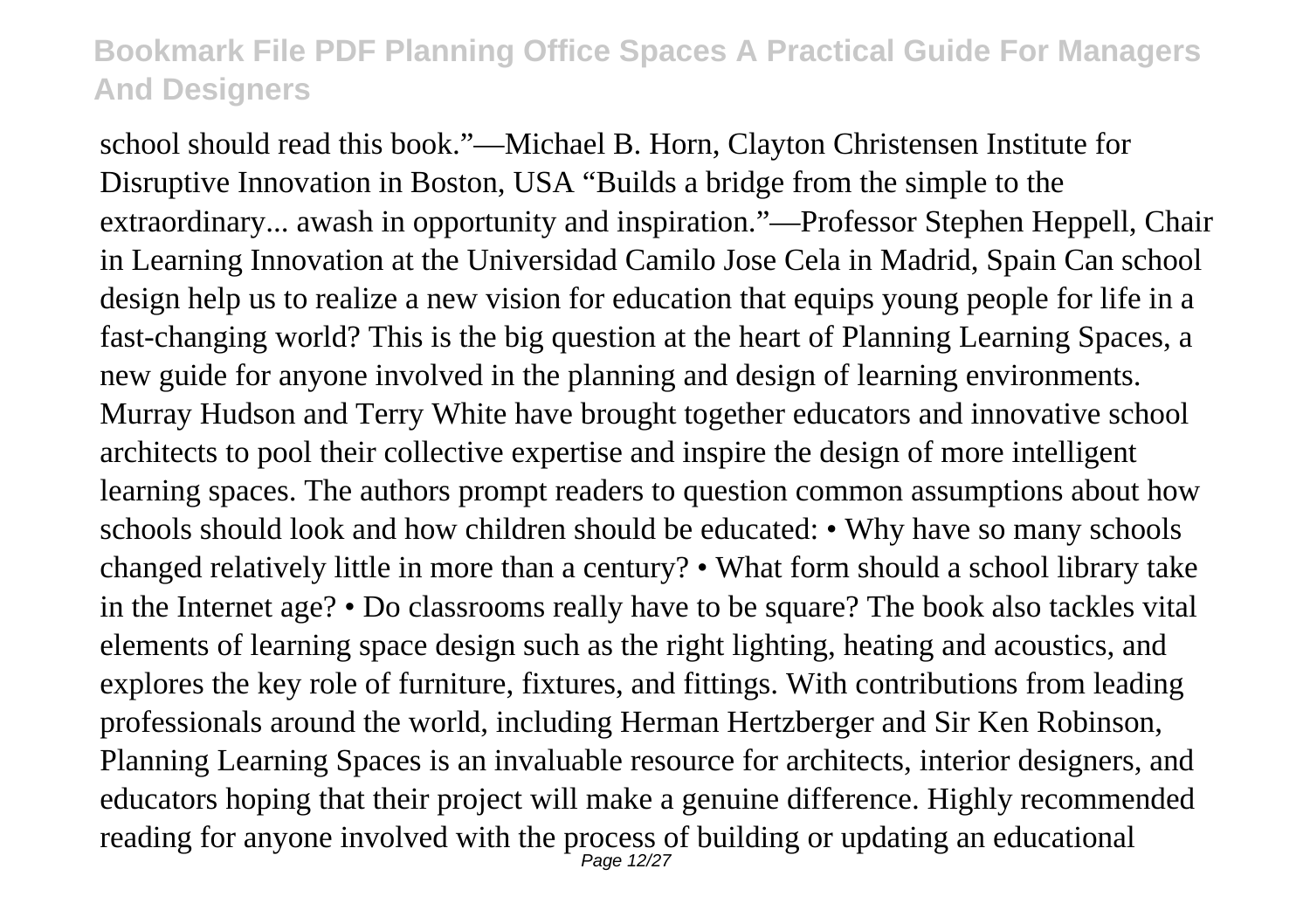school should read this book."—Michael B. Horn, Clayton Christensen Institute for Disruptive Innovation in Boston, USA "Builds a bridge from the simple to the extraordinary... awash in opportunity and inspiration."—Professor Stephen Heppell, Chair in Learning Innovation at the Universidad Camilo Jose Cela in Madrid, Spain Can school design help us to realize a new vision for education that equips young people for life in a fast-changing world? This is the big question at the heart of Planning Learning Spaces, a new guide for anyone involved in the planning and design of learning environments. Murray Hudson and Terry White have brought together educators and innovative school architects to pool their collective expertise and inspire the design of more intelligent learning spaces. The authors prompt readers to question common assumptions about how schools should look and how children should be educated: • Why have so many schools changed relatively little in more than a century? • What form should a school library take in the Internet age? • Do classrooms really have to be square? The book also tackles vital elements of learning space design such as the right lighting, heating and acoustics, and explores the key role of furniture, fixtures, and fittings. With contributions from leading professionals around the world, including Herman Hertzberger and Sir Ken Robinson, Planning Learning Spaces is an invaluable resource for architects, interior designers, and educators hoping that their project will make a genuine difference. Highly recommended reading for anyone involved with the process of building or updating an educational Page 12/27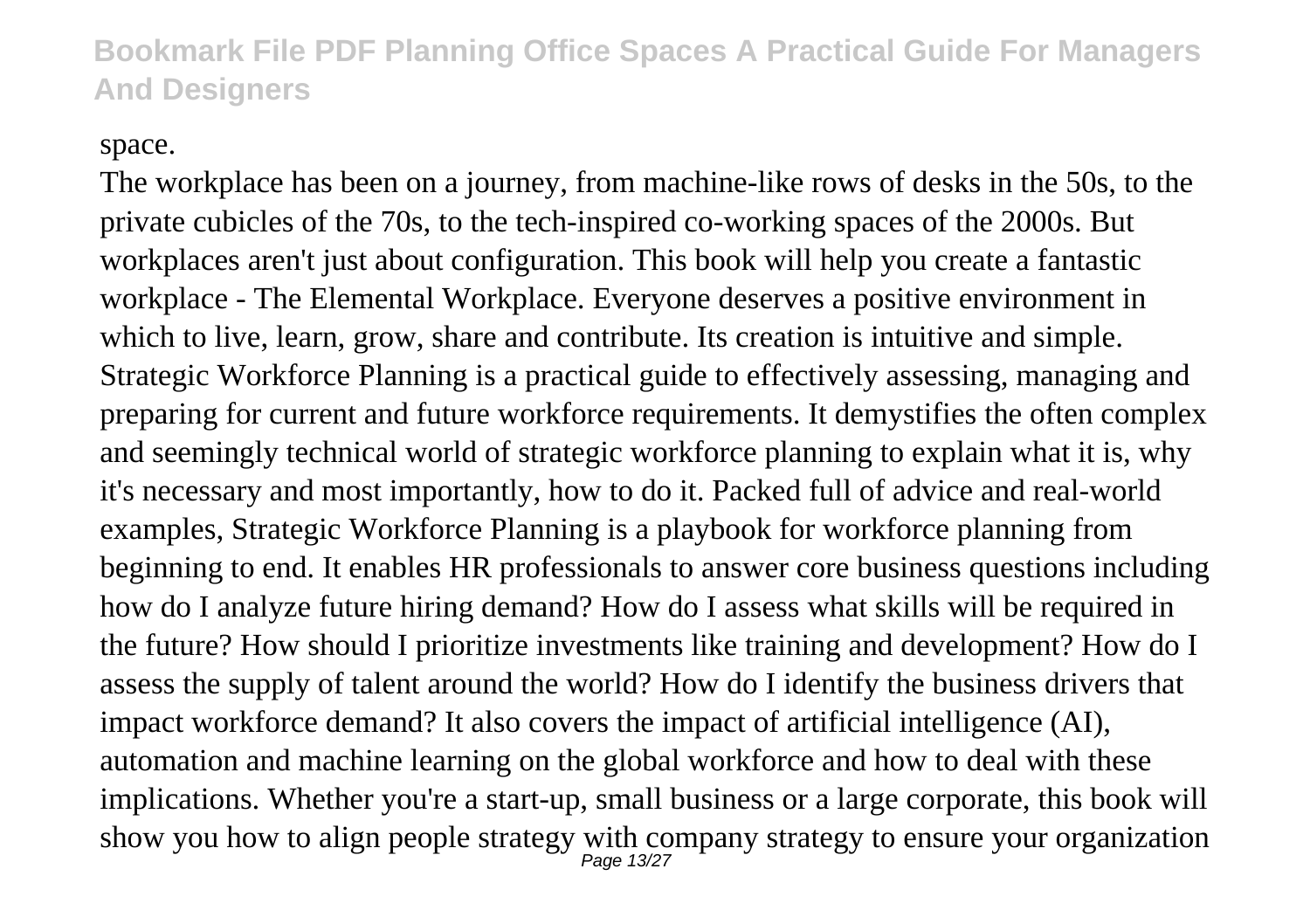#### space.

The workplace has been on a journey, from machine-like rows of desks in the 50s, to the private cubicles of the 70s, to the tech-inspired co-working spaces of the 2000s. But workplaces aren't just about configuration. This book will help you create a fantastic workplace - The Elemental Workplace. Everyone deserves a positive environment in which to live, learn, grow, share and contribute. Its creation is intuitive and simple. Strategic Workforce Planning is a practical guide to effectively assessing, managing and preparing for current and future workforce requirements. It demystifies the often complex and seemingly technical world of strategic workforce planning to explain what it is, why it's necessary and most importantly, how to do it. Packed full of advice and real-world examples, Strategic Workforce Planning is a playbook for workforce planning from beginning to end. It enables HR professionals to answer core business questions including how do I analyze future hiring demand? How do I assess what skills will be required in the future? How should I prioritize investments like training and development? How do I assess the supply of talent around the world? How do I identify the business drivers that impact workforce demand? It also covers the impact of artificial intelligence (AI), automation and machine learning on the global workforce and how to deal with these implications. Whether you're a start-up, small business or a large corporate, this book will show you how to align people strategy with company strategy to ensure your organization Page 13/27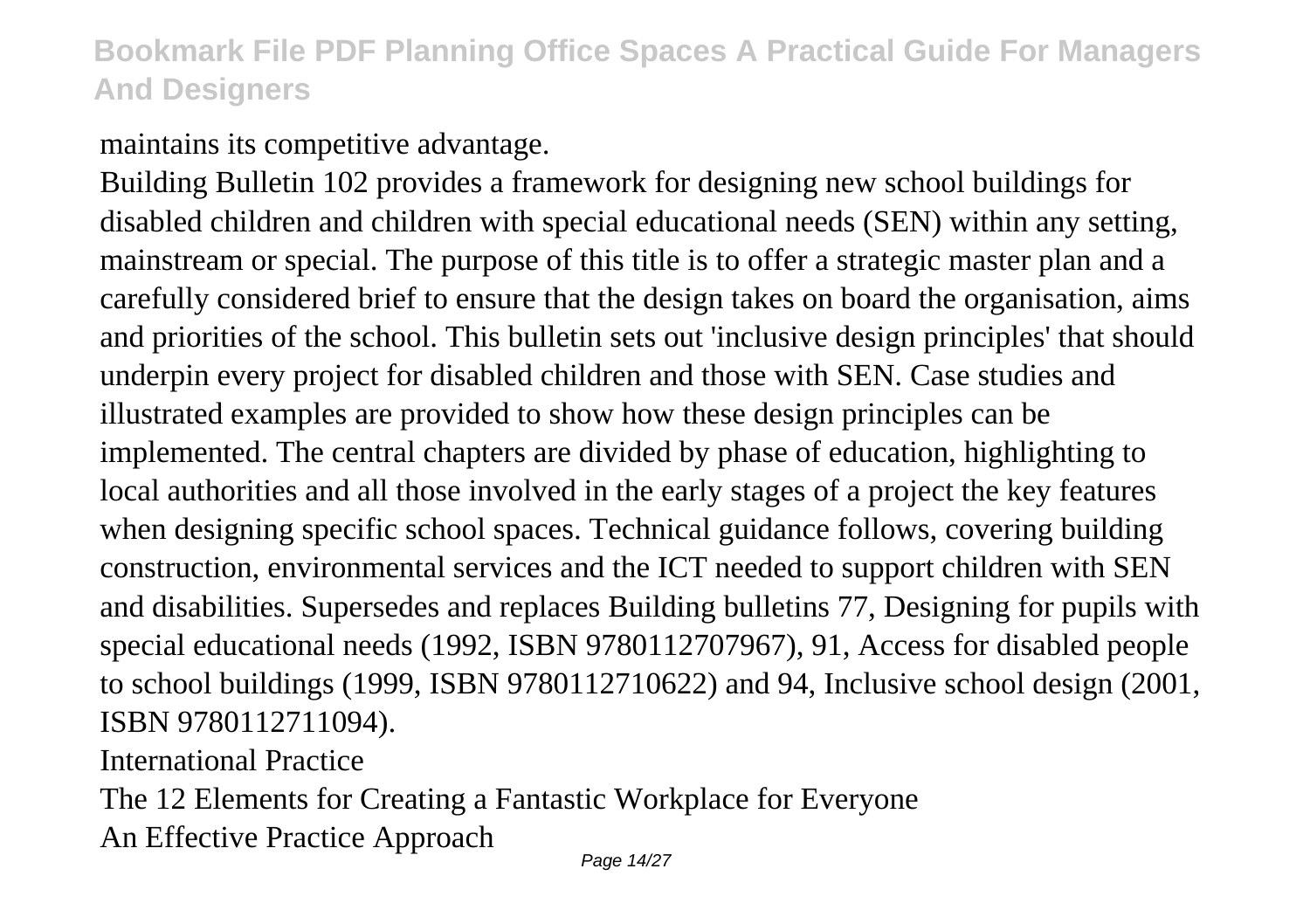#### maintains its competitive advantage.

Building Bulletin 102 provides a framework for designing new school buildings for disabled children and children with special educational needs (SEN) within any setting, mainstream or special. The purpose of this title is to offer a strategic master plan and a carefully considered brief to ensure that the design takes on board the organisation, aims and priorities of the school. This bulletin sets out 'inclusive design principles' that should underpin every project for disabled children and those with SEN. Case studies and illustrated examples are provided to show how these design principles can be implemented. The central chapters are divided by phase of education, highlighting to local authorities and all those involved in the early stages of a project the key features when designing specific school spaces. Technical guidance follows, covering building construction, environmental services and the ICT needed to support children with SEN and disabilities. Supersedes and replaces Building bulletins 77, Designing for pupils with special educational needs (1992, ISBN 9780112707967), 91, Access for disabled people to school buildings (1999, ISBN 9780112710622) and 94, Inclusive school design (2001, ISBN 9780112711094).

International Practice

The 12 Elements for Creating a Fantastic Workplace for Everyone An Effective Practice Approach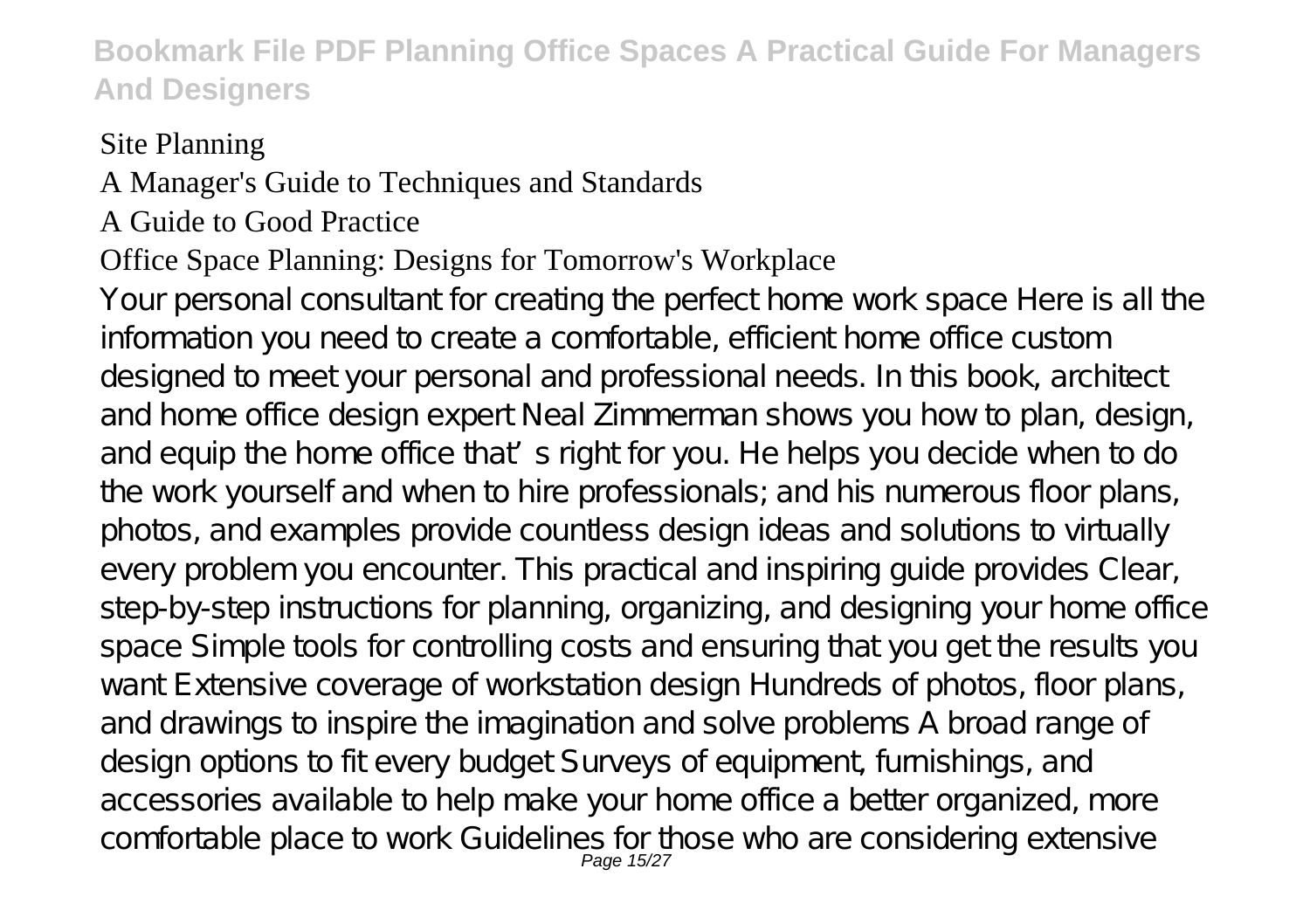### Site Planning

# A Manager's Guide to Techniques and Standards

### A Guide to Good Practice

# Office Space Planning: Designs for Tomorrow's Workplace

Your personal consultant for creating the perfect home work space Here is all the information you need to create a comfortable, efficient home office custom designed to meet your personal and professional needs. In this book, architect and home office design expert Neal Zimmerman shows you how to plan, design, and equip the home office that's right for you. He helps you decide when to do the work yourself and when to hire professionals; and his numerous floor plans, photos, and examples provide countless design ideas and solutions to virtually every problem you encounter. This practical and inspiring guide provides Clear, step-by-step instructions for planning, organizing, and designing your home office space Simple tools for controlling costs and ensuring that you get the results you want Extensive coverage of workstation design Hundreds of photos, floor plans, and drawings to inspire the imagination and solve problems A broad range of design options to fit every budget Surveys of equipment, furnishings, and accessories available to help make your home office a better organized, more comfortable place to work Guidelines for those who are considering extensive<br>Page 15/27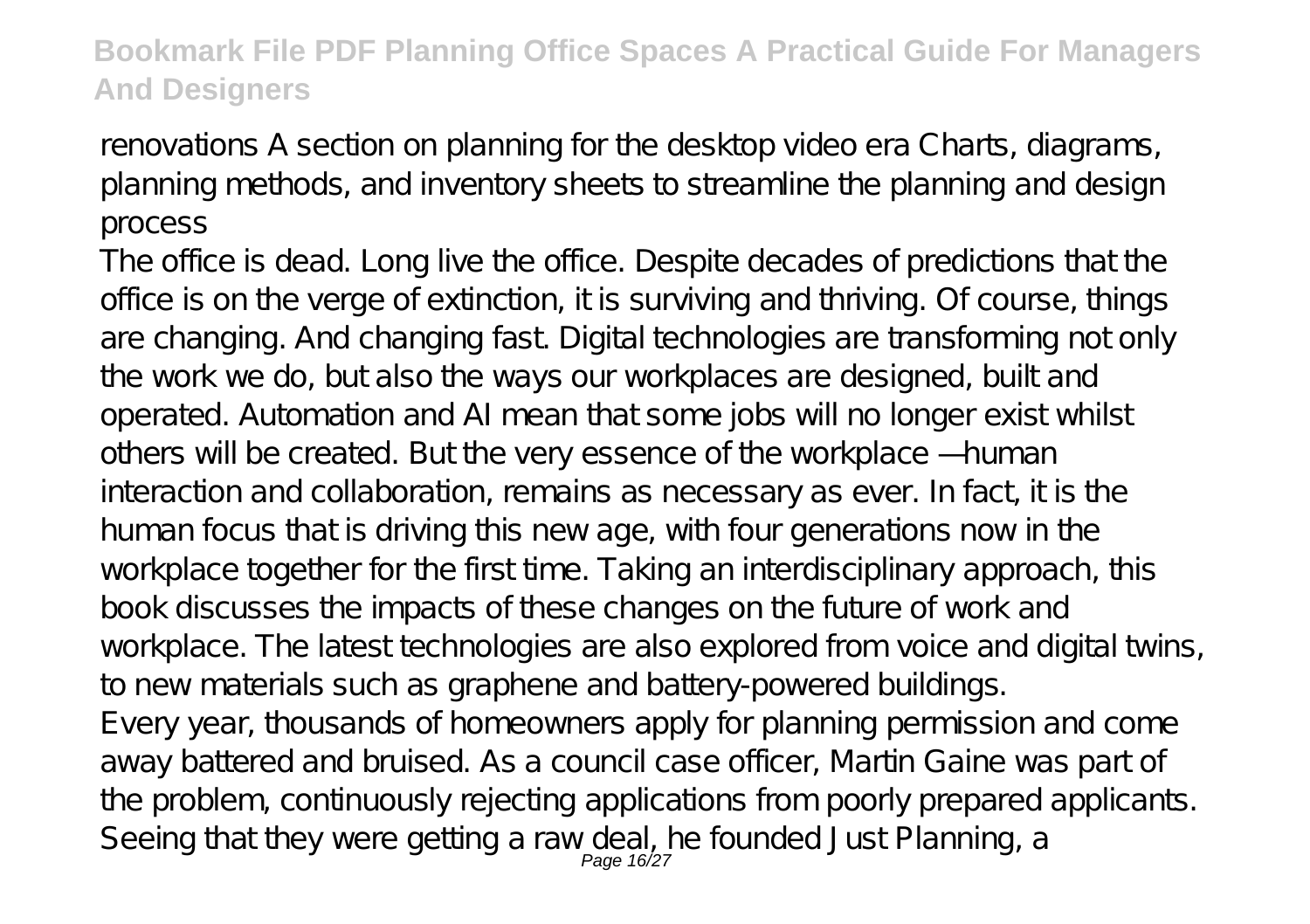renovations A section on planning for the desktop video era Charts, diagrams, planning methods, and inventory sheets to streamline the planning and design process

The office is dead. Long live the office. Despite decades of predictions that the office is on the verge of extinction, it is surviving and thriving. Of course, things are changing. And changing fast. Digital technologies are transforming not only the work we do, but also the ways our workplaces are designed, built and operated. Automation and AI mean that some jobs will no longer exist whilst others will be created. But the very essence of the workplace — human interaction and collaboration, remains as necessary as ever. In fact, it is the human focus that is driving this new age, with four generations now in the workplace together for the first time. Taking an interdisciplinary approach, this book discusses the impacts of these changes on the future of work and workplace. The latest technologies are also explored from voice and digital twins, to new materials such as graphene and battery-powered buildings. Every year, thousands of homeowners apply for planning permission and come away battered and bruised. As a council case officer, Martin Gaine was part of the problem, continuously rejecting applications from poorly prepared applicants. Seeing that they were getting a raw deal, he founded Just Planning, a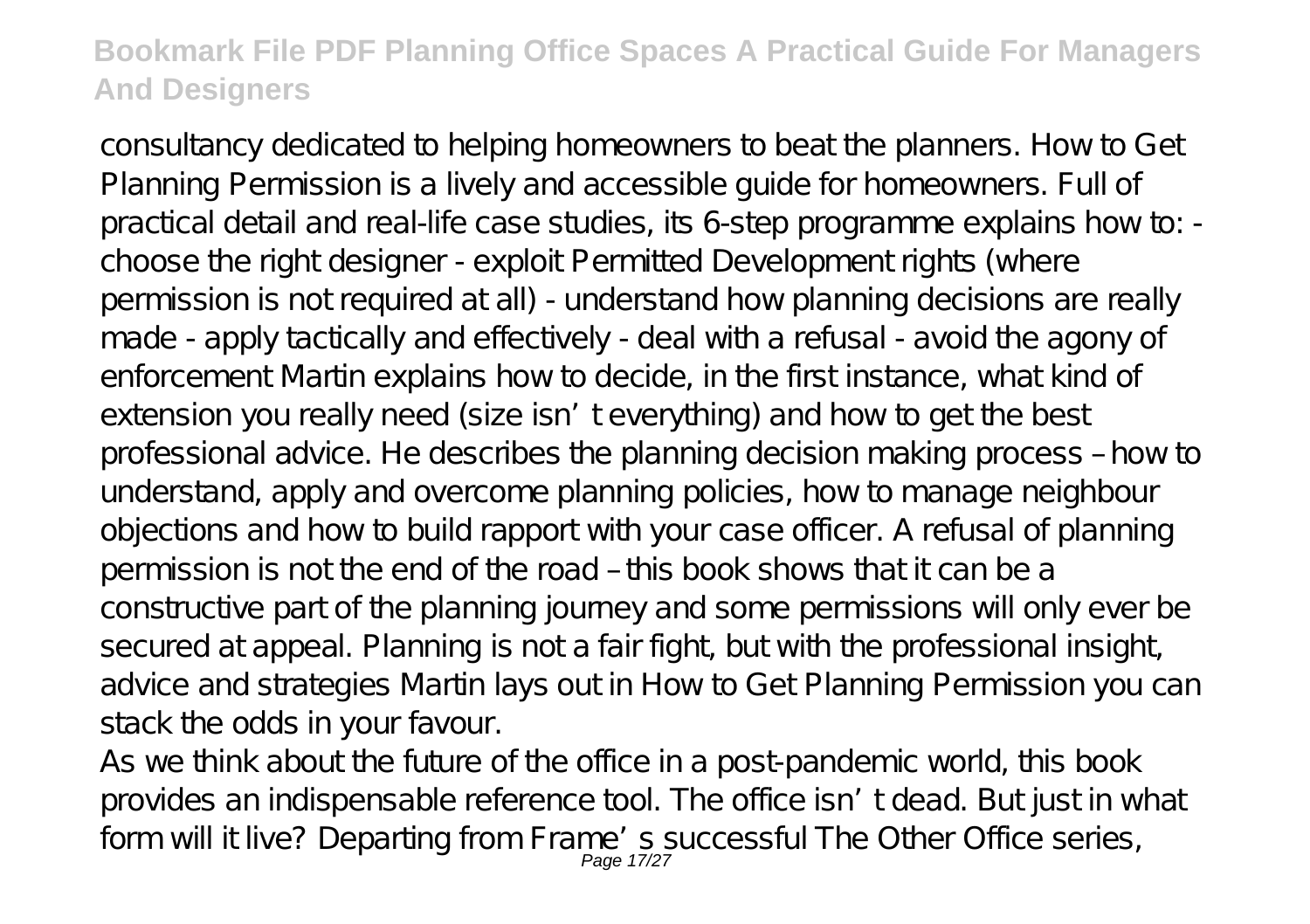consultancy dedicated to helping homeowners to beat the planners. How to Get Planning Permission is a lively and accessible guide for homeowners. Full of practical detail and real-life case studies, its 6-step programme explains how to: choose the right designer - exploit Permitted Development rights (where permission is not required at all) - understand how planning decisions are really made - apply tactically and effectively - deal with a refusal - avoid the agony of enforcement Martin explains how to decide, in the first instance, what kind of extension you really need (size isn't everything) and how to get the best professional advice. He describes the planning decision making process – how to understand, apply and overcome planning policies, how to manage neighbour objections and how to build rapport with your case officer. A refusal of planning permission is not the end of the road – this book shows that it can be a constructive part of the planning journey and some permissions will only ever be secured at appeal. Planning is not a fair fight, but with the professional insight, advice and strategies Martin lays out in How to Get Planning Permission you can stack the odds in your favour.

As we think about the future of the office in a post-pandemic world, this book provides an indispensable reference tool. The office isn't dead. But just in what form will it live? Departing from Frame's successful The Other Office series, Page 17/27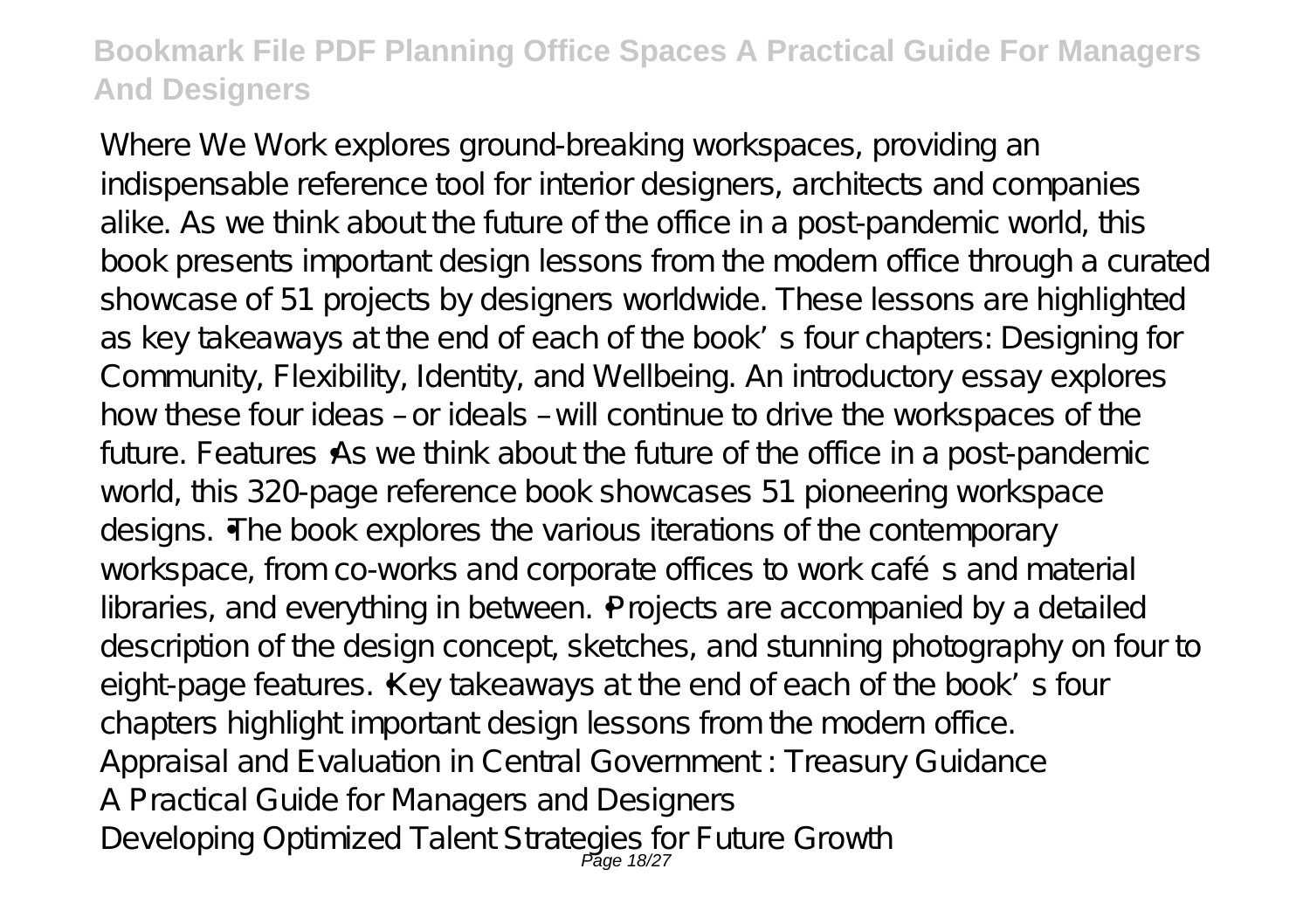Where We Work explores ground-breaking workspaces, providing an indispensable reference tool for interior designers, architects and companies alike. As we think about the future of the office in a post-pandemic world, this book presents important design lessons from the modern office through a curated showcase of 51 projects by designers worldwide. These lessons are highlighted as key takeaways at the end of each of the book's four chapters: Designing for Community, Flexibility, Identity, and Wellbeing. An introductory essay explores how these four ideas – or ideals – will continue to drive the workspaces of the future. Features •As we think about the future of the office in a post-pandemic world, this 320-page reference book showcases 51 pioneering workspace designs. •The book explores the various iterations of the contemporary workspace, from co-works and corporate offices to work café s and material libraries, and everything in between. •Projects are accompanied by a detailed description of the design concept, sketches, and stunning photography on four to eight-page features. Key takeaways at the end of each of the book's four chapters highlight important design lessons from the modern office. Appraisal and Evaluation in Central Government : Treasury Guidance A Practical Guide for Managers and Designers Developing Optimized Talent Strategies for Future Growth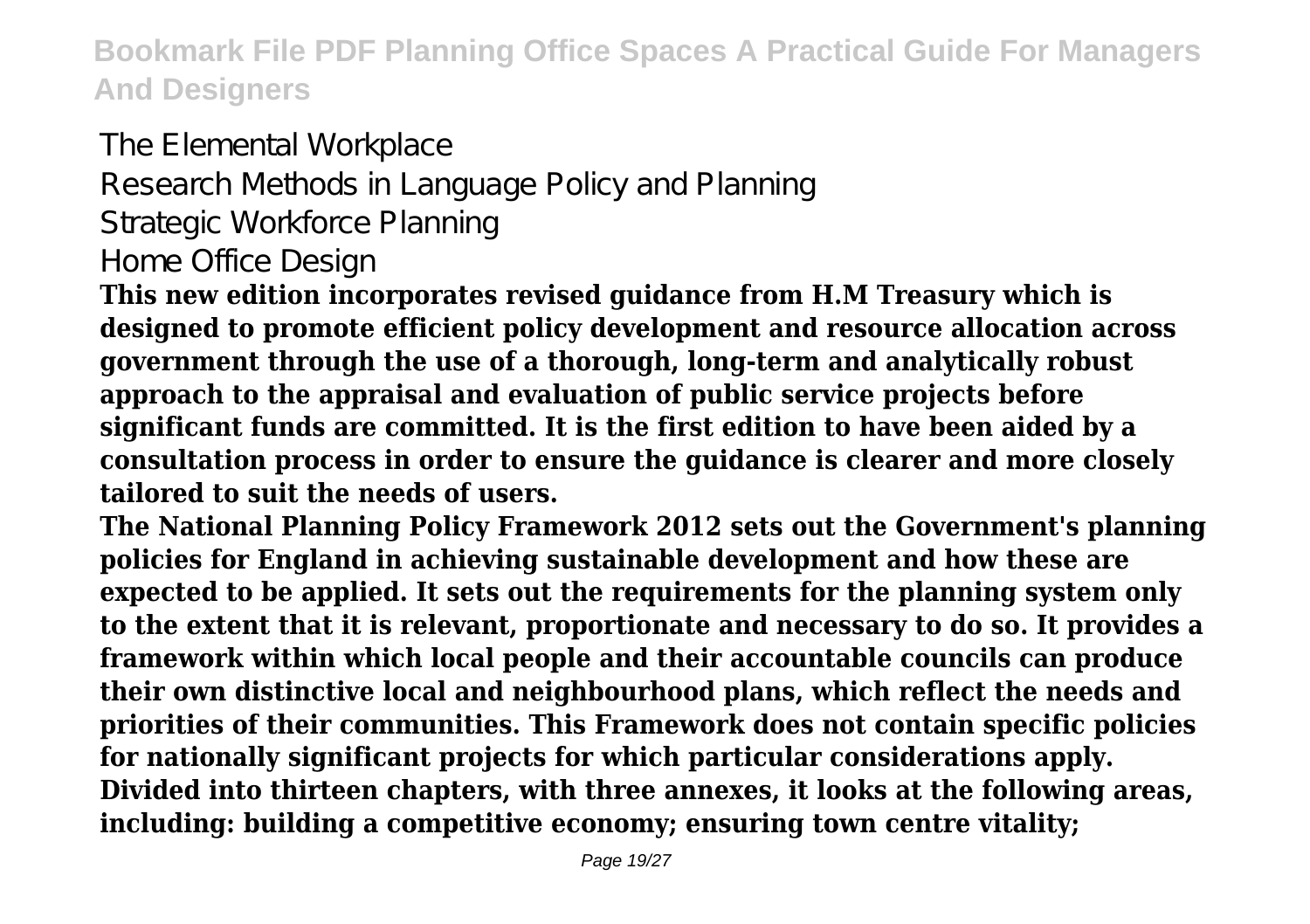# The Elemental Workplace Research Methods in Language Policy and Planning Strategic Workforce Planning Home Office Design

**This new edition incorporates revised guidance from H.M Treasury which is designed to promote efficient policy development and resource allocation across government through the use of a thorough, long-term and analytically robust approach to the appraisal and evaluation of public service projects before significant funds are committed. It is the first edition to have been aided by a consultation process in order to ensure the guidance is clearer and more closely tailored to suit the needs of users.**

**The National Planning Policy Framework 2012 sets out the Government's planning policies for England in achieving sustainable development and how these are expected to be applied. It sets out the requirements for the planning system only to the extent that it is relevant, proportionate and necessary to do so. It provides a framework within which local people and their accountable councils can produce their own distinctive local and neighbourhood plans, which reflect the needs and priorities of their communities. This Framework does not contain specific policies for nationally significant projects for which particular considerations apply. Divided into thirteen chapters, with three annexes, it looks at the following areas, including: building a competitive economy; ensuring town centre vitality;**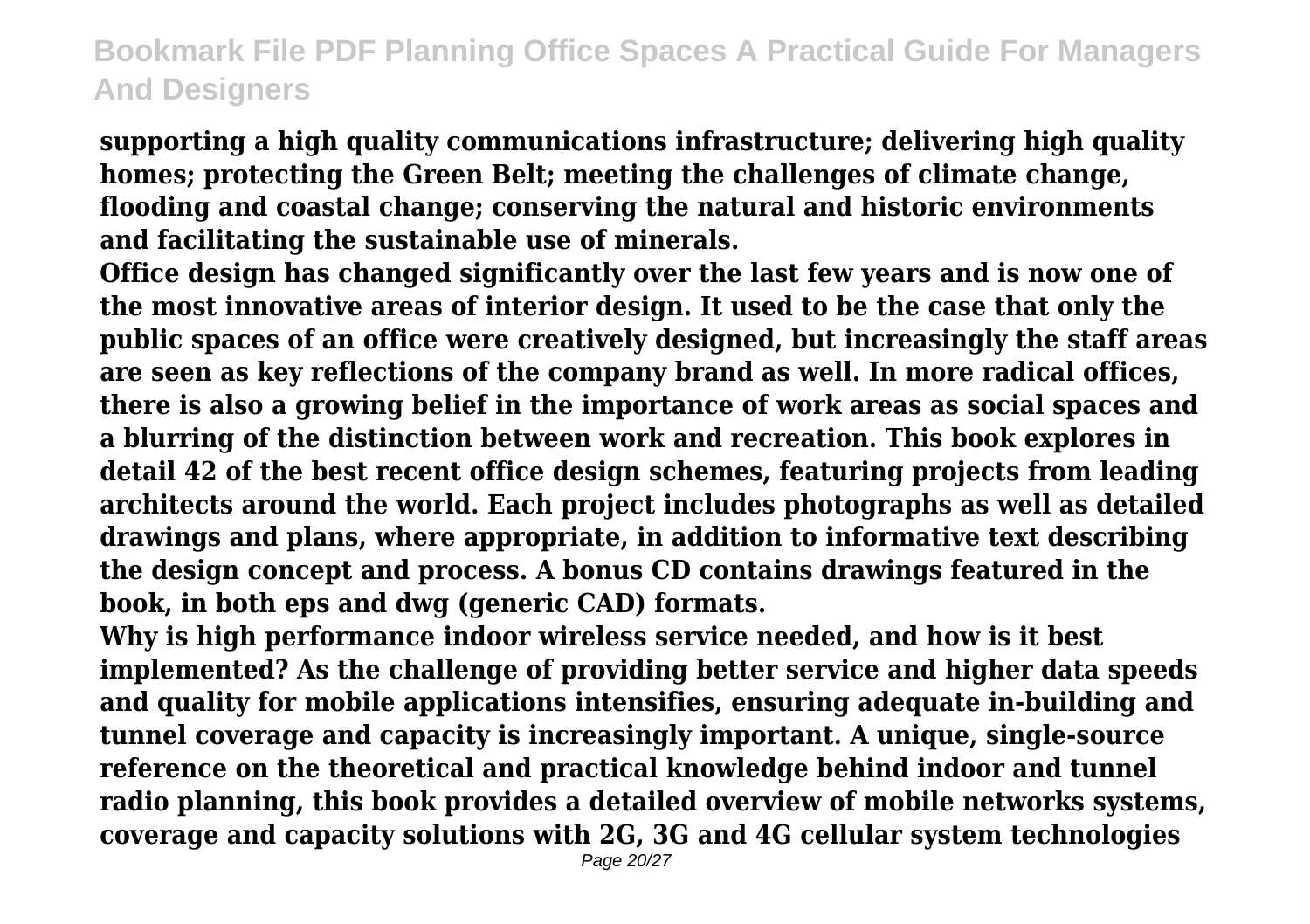**supporting a high quality communications infrastructure; delivering high quality homes; protecting the Green Belt; meeting the challenges of climate change, flooding and coastal change; conserving the natural and historic environments and facilitating the sustainable use of minerals.**

**Office design has changed significantly over the last few years and is now one of the most innovative areas of interior design. It used to be the case that only the public spaces of an office were creatively designed, but increasingly the staff areas are seen as key reflections of the company brand as well. In more radical offices, there is also a growing belief in the importance of work areas as social spaces and a blurring of the distinction between work and recreation. This book explores in detail 42 of the best recent office design schemes, featuring projects from leading architects around the world. Each project includes photographs as well as detailed drawings and plans, where appropriate, in addition to informative text describing the design concept and process. A bonus CD contains drawings featured in the book, in both eps and dwg (generic CAD) formats.**

**Why is high performance indoor wireless service needed, and how is it best implemented? As the challenge of providing better service and higher data speeds and quality for mobile applications intensifies, ensuring adequate in-building and tunnel coverage and capacity is increasingly important. A unique, single-source reference on the theoretical and practical knowledge behind indoor and tunnel radio planning, this book provides a detailed overview of mobile networks systems, coverage and capacity solutions with 2G, 3G and 4G cellular system technologies**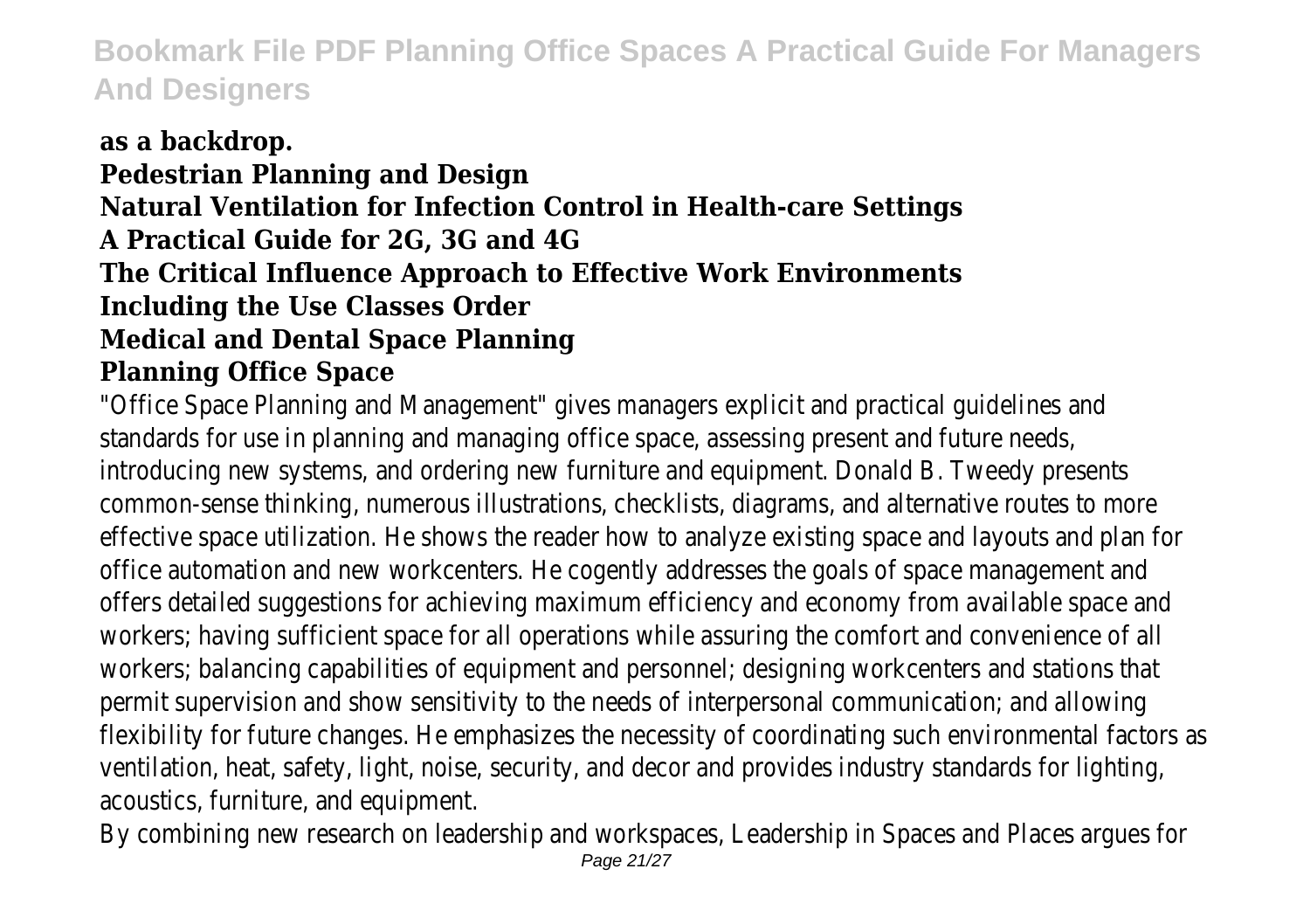#### **as a backdrop. Pedestrian Planning and Design Natural Ventilation for Infection Control in Health-care Settings A Practical Guide for 2G, 3G and 4G The Critical Influence Approach to Effective Work Environments Including the Use Classes Order Medical and Dental Space Planning Planning Office Space**

"Office Space Planning and Management" gives managers explicit and practical guidelines and standards for use in planning and managing office space, assessing present and future needs, introducing new systems, and ordering new furniture and equipment. Donald B. Tweedy presents common-sense thinking, numerous illustrations, checklists, diagrams, and alternative routes to more effective space utilization. He shows the reader how to analyze existing space and layouts and plan for office automation and new workcenters. He cogently addresses the goals of space management and offers detailed suggestions for achieving maximum efficiency and economy from available space and workers; having sufficient space for all operations while assuring the comfort and convenience of all workers; balancing capabilities of equipment and personnel; designing workcenters and stations that permit supervision and show sensitivity to the needs of interpersonal communication; and allowing flexibility for future changes. He emphasizes the necessity of coordinating such environmental factors as ventilation, heat, safety, light, noise, security, and decor and provides industry standards for lighting, acoustics, furniture, and equipment.

By combining new research on leadership and workspaces, Leadership in Spaces and Places argues for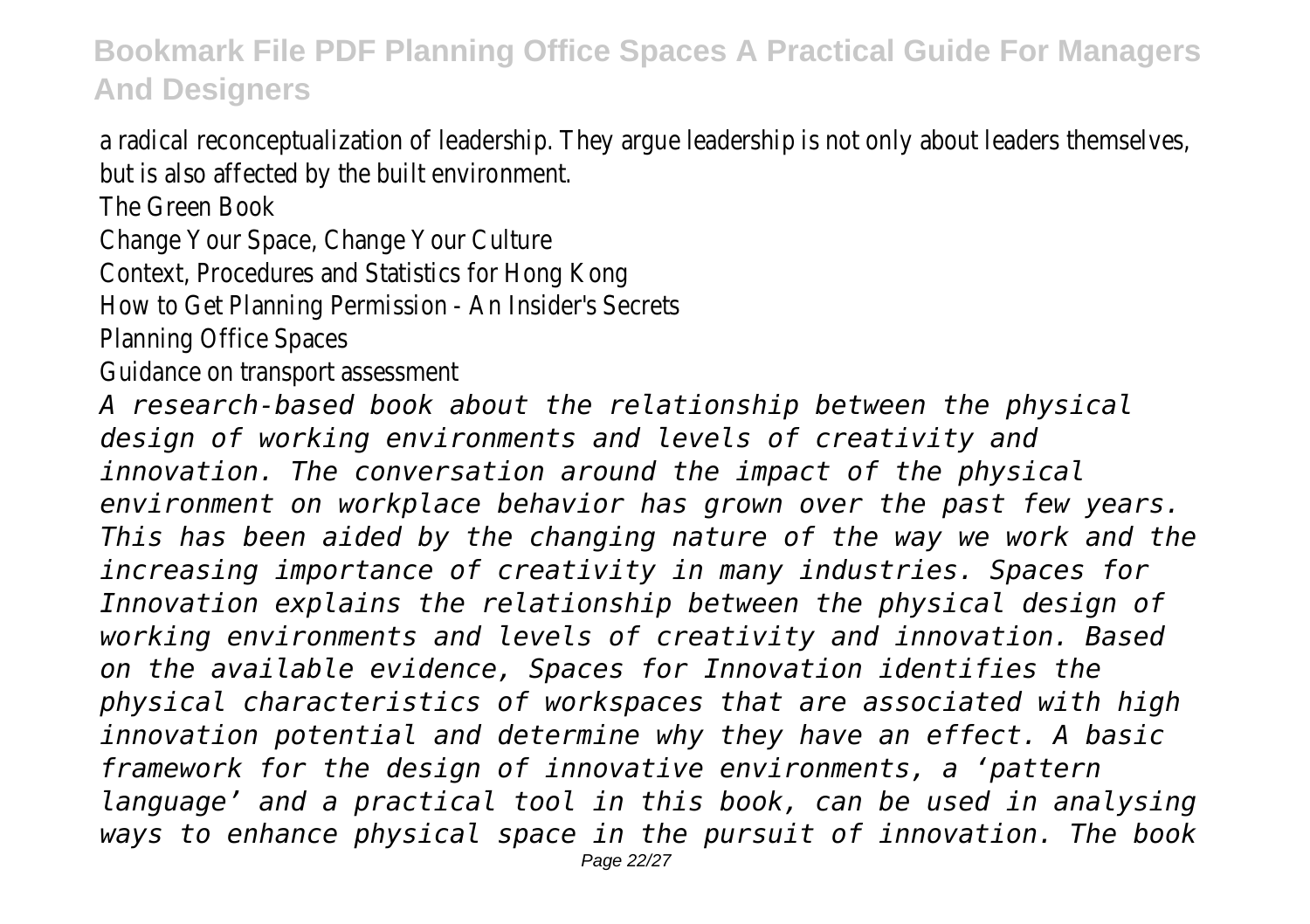a radical reconceptualization of leadership. They argue leadership is not only about leaders themselves, but is also affected by the built environment.

The Green Book

Change Your Space, Change Your Culture

Context, Procedures and Statistics for Hong Kong

How to Get Planning Permission - An Insider's Secrets

Planning Office Spaces

Guidance on transport assessment

*A research-based book about the relationship between the physical design of working environments and levels of creativity and innovation. The conversation around the impact of the physical environment on workplace behavior has grown over the past few years. This has been aided by the changing nature of the way we work and the increasing importance of creativity in many industries. Spaces for Innovation explains the relationship between the physical design of working environments and levels of creativity and innovation. Based on the available evidence, Spaces for Innovation identifies the physical characteristics of workspaces that are associated with high innovation potential and determine why they have an effect. A basic framework for the design of innovative environments, a 'pattern language' and a practical tool in this book, can be used in analysing ways to enhance physical space in the pursuit of innovation. The book* Page 22/27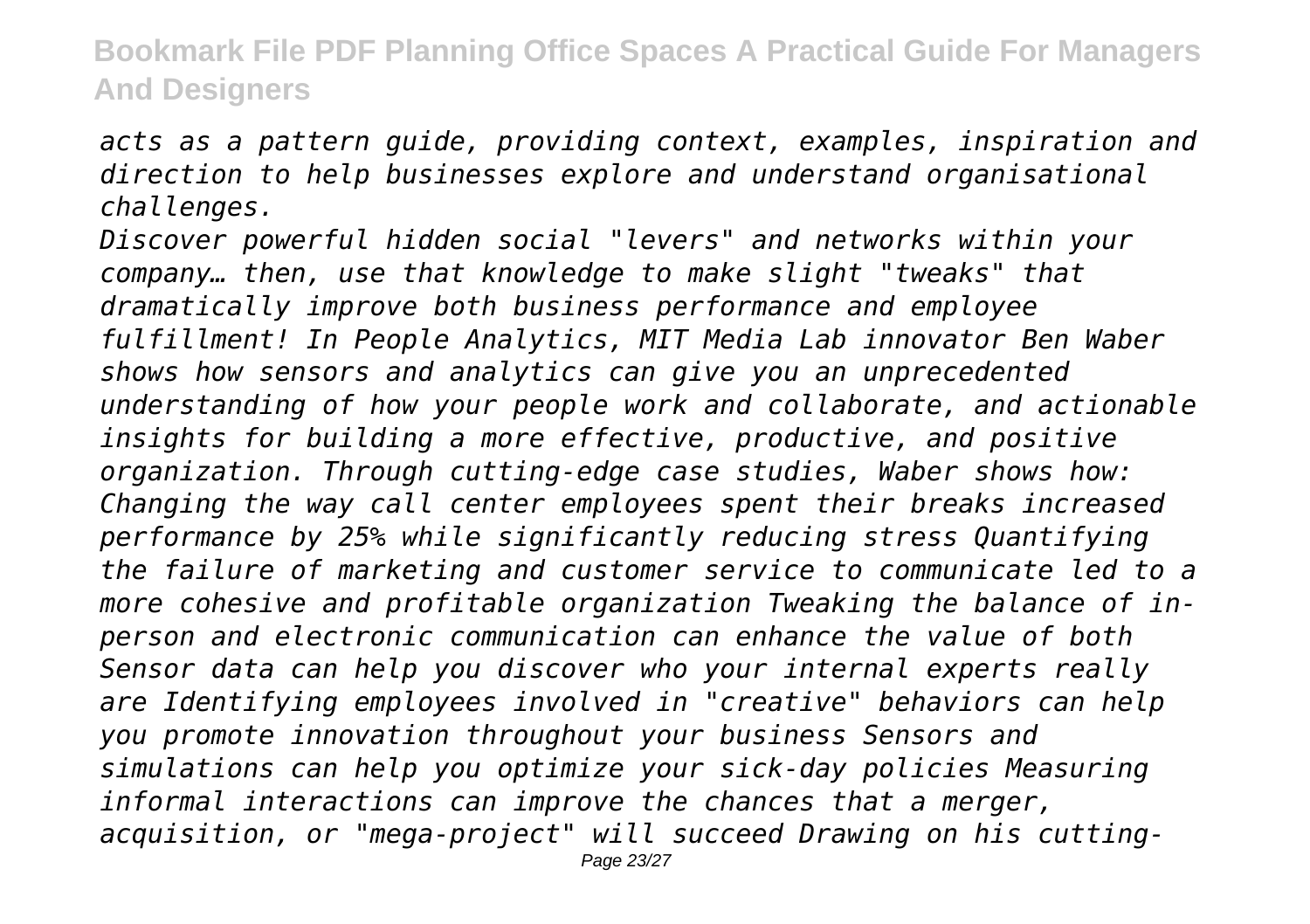*acts as a pattern guide, providing context, examples, inspiration and direction to help businesses explore and understand organisational challenges.*

*Discover powerful hidden social "levers" and networks within your company… then, use that knowledge to make slight "tweaks" that dramatically improve both business performance and employee fulfillment! In People Analytics, MIT Media Lab innovator Ben Waber shows how sensors and analytics can give you an unprecedented understanding of how your people work and collaborate, and actionable insights for building a more effective, productive, and positive organization. Through cutting-edge case studies, Waber shows how: Changing the way call center employees spent their breaks increased performance by 25% while significantly reducing stress Quantifying the failure of marketing and customer service to communicate led to a more cohesive and profitable organization Tweaking the balance of inperson and electronic communication can enhance the value of both Sensor data can help you discover who your internal experts really are Identifying employees involved in "creative" behaviors can help you promote innovation throughout your business Sensors and simulations can help you optimize your sick-day policies Measuring informal interactions can improve the chances that a merger, acquisition, or "mega-project" will succeed Drawing on his cutting-*Page 23/27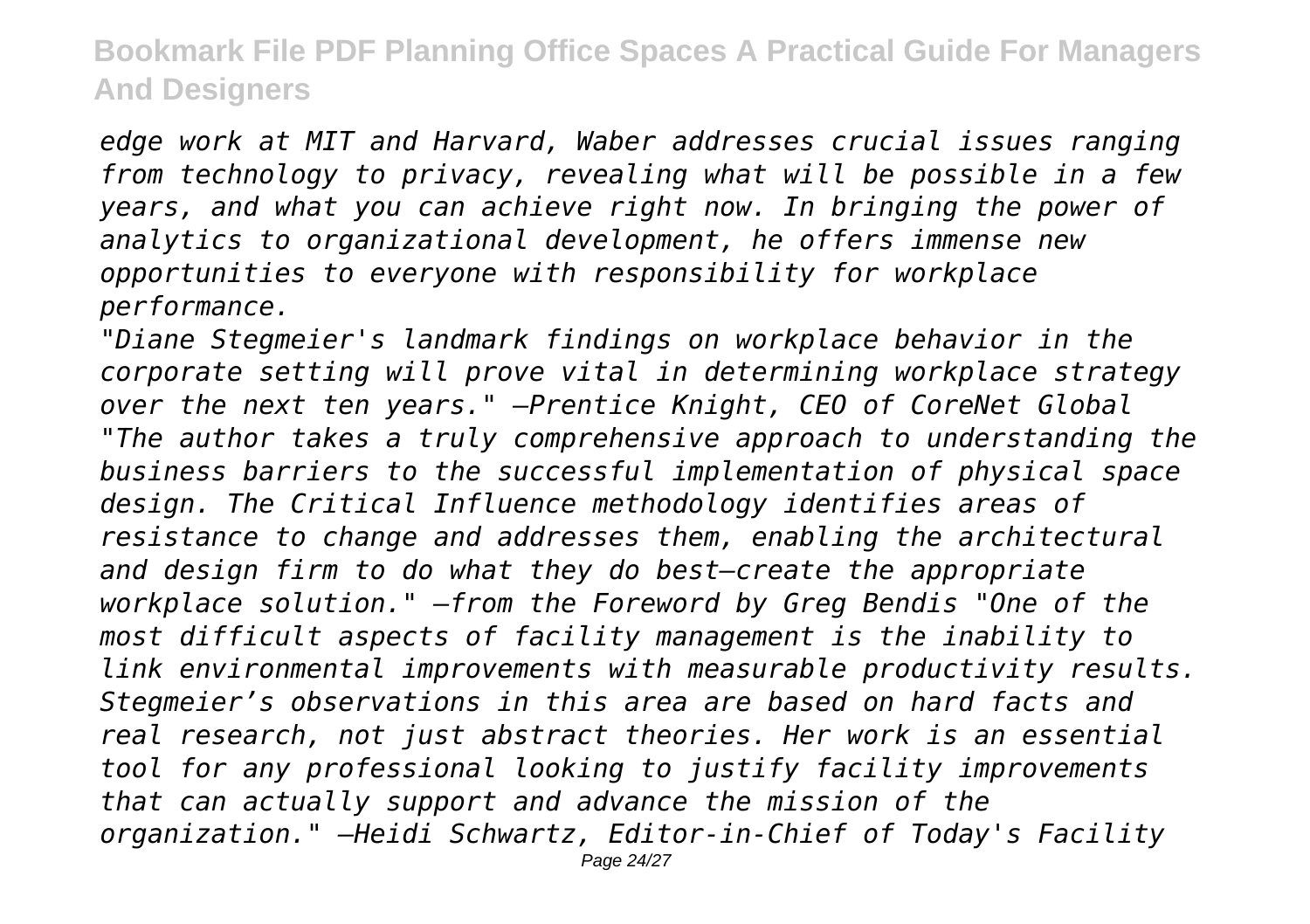*edge work at MIT and Harvard, Waber addresses crucial issues ranging from technology to privacy, revealing what will be possible in a few years, and what you can achieve right now. In bringing the power of analytics to organizational development, he offers immense new opportunities to everyone with responsibility for workplace performance.*

*"Diane Stegmeier's landmark findings on workplace behavior in the corporate setting will prove vital in determining workplace strategy over the next ten years." —Prentice Knight, CEO of CoreNet Global "The author takes a truly comprehensive approach to understanding the business barriers to the successful implementation of physical space design. The Critical Influence methodology identifies areas of resistance to change and addresses them, enabling the architectural and design firm to do what they do best—create the appropriate workplace solution." —from the Foreword by Greg Bendis "One of the most difficult aspects of facility management is the inability to link environmental improvements with measurable productivity results. Stegmeier's observations in this area are based on hard facts and real research, not just abstract theories. Her work is an essential tool for any professional looking to justify facility improvements that can actually support and advance the mission of the organization." —Heidi Schwartz, Editor-in-Chief of Today's Facility* Page 24/27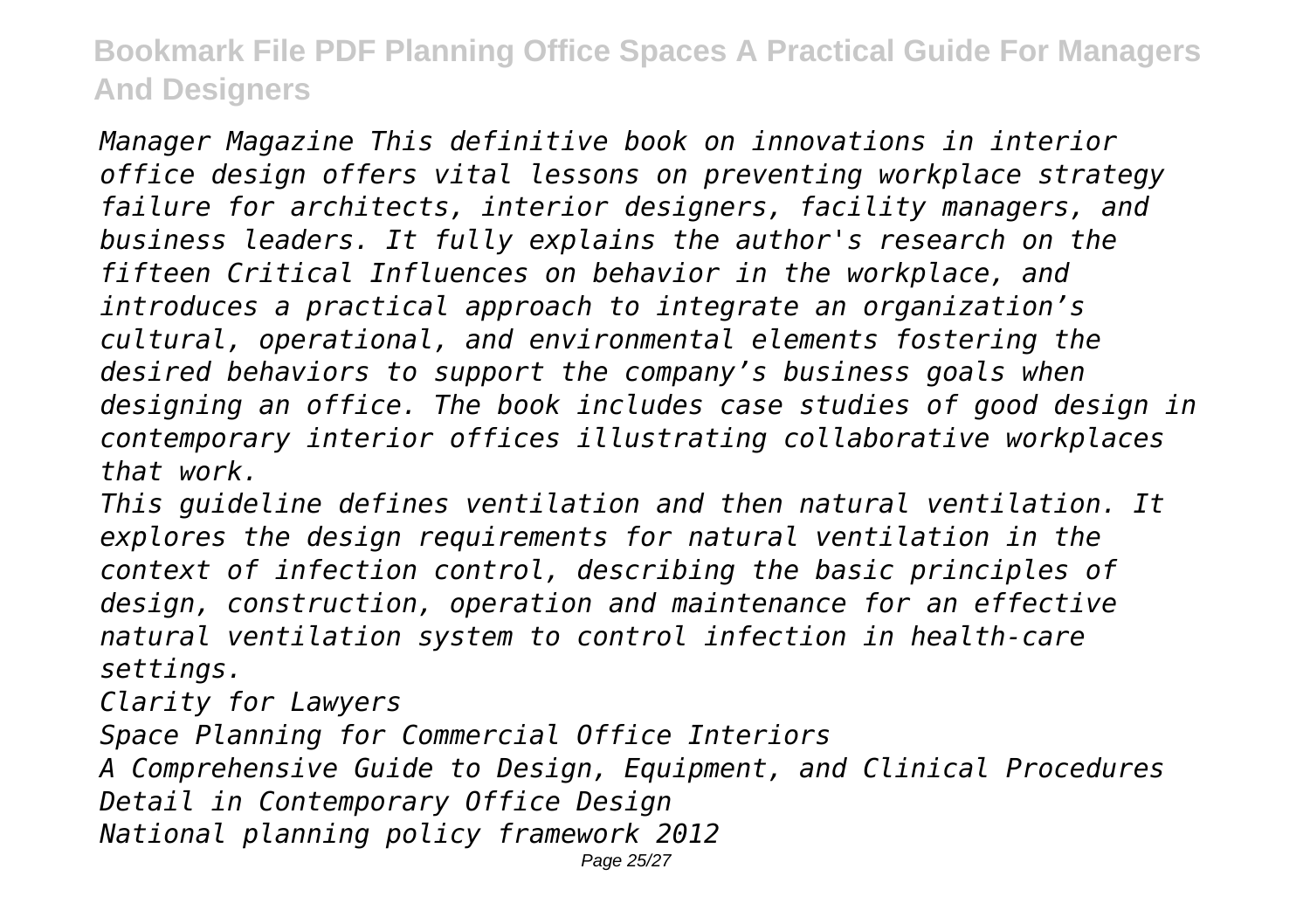*Manager Magazine This definitive book on innovations in interior office design offers vital lessons on preventing workplace strategy failure for architects, interior designers, facility managers, and business leaders. It fully explains the author's research on the fifteen Critical Influences on behavior in the workplace, and introduces a practical approach to integrate an organization's cultural, operational, and environmental elements fostering the desired behaviors to support the company's business goals when designing an office. The book includes case studies of good design in contemporary interior offices illustrating collaborative workplaces that work.*

*This guideline defines ventilation and then natural ventilation. It explores the design requirements for natural ventilation in the context of infection control, describing the basic principles of design, construction, operation and maintenance for an effective natural ventilation system to control infection in health-care settings.*

*Clarity for Lawyers*

*Space Planning for Commercial Office Interiors*

*A Comprehensive Guide to Design, Equipment, and Clinical Procedures Detail in Contemporary Office Design National planning policy framework 2012*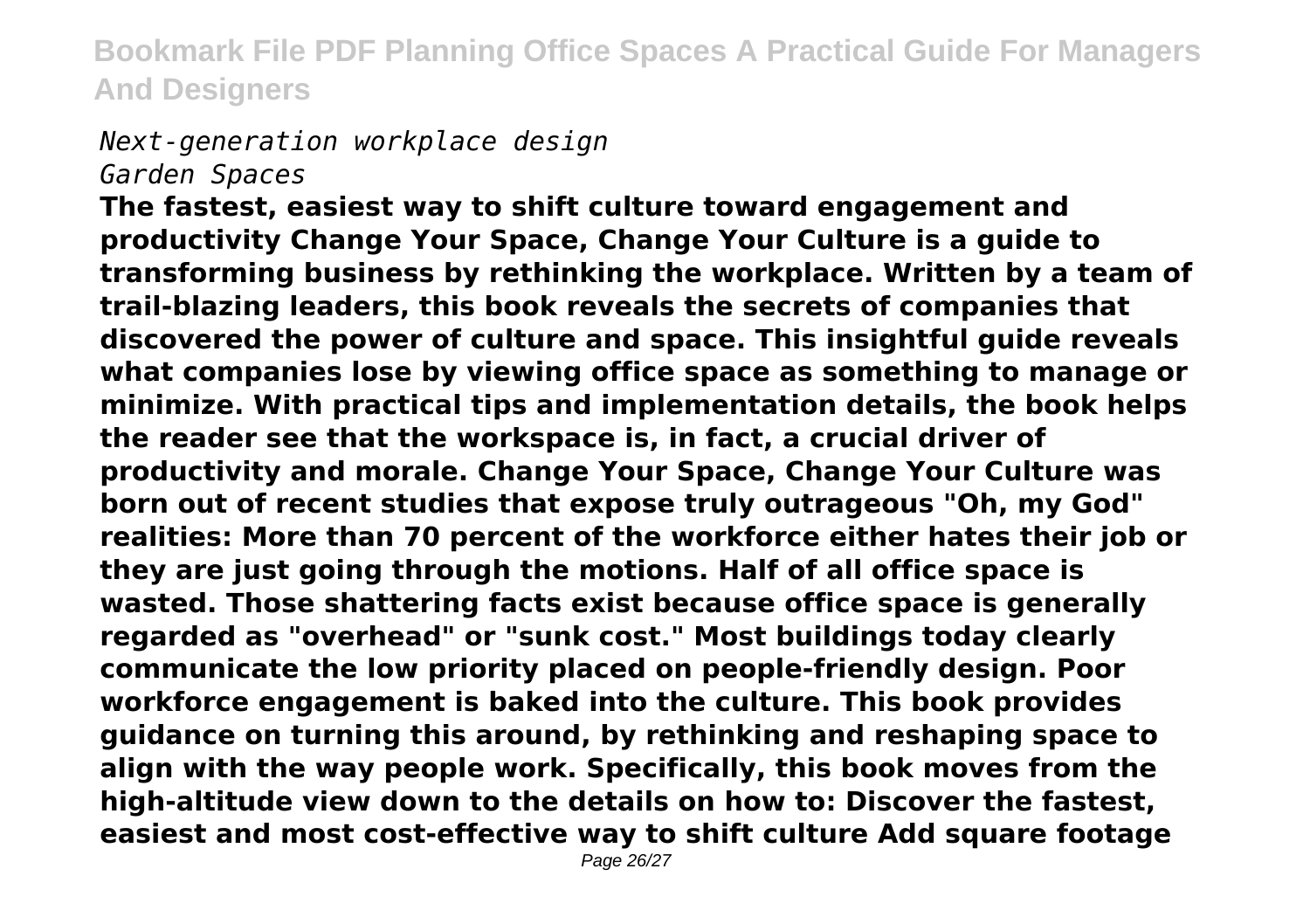#### *Next-generation workplace design Garden Spaces*

**The fastest, easiest way to shift culture toward engagement and productivity Change Your Space, Change Your Culture is a guide to transforming business by rethinking the workplace. Written by a team of trail-blazing leaders, this book reveals the secrets of companies that discovered the power of culture and space. This insightful guide reveals what companies lose by viewing office space as something to manage or minimize. With practical tips and implementation details, the book helps the reader see that the workspace is, in fact, a crucial driver of productivity and morale. Change Your Space, Change Your Culture was born out of recent studies that expose truly outrageous "Oh, my God" realities: More than 70 percent of the workforce either hates their job or they are just going through the motions. Half of all office space is wasted. Those shattering facts exist because office space is generally regarded as "overhead" or "sunk cost." Most buildings today clearly communicate the low priority placed on people-friendly design. Poor workforce engagement is baked into the culture. This book provides guidance on turning this around, by rethinking and reshaping space to align with the way people work. Specifically, this book moves from the high-altitude view down to the details on how to: Discover the fastest, easiest and most cost-effective way to shift culture Add square footage**